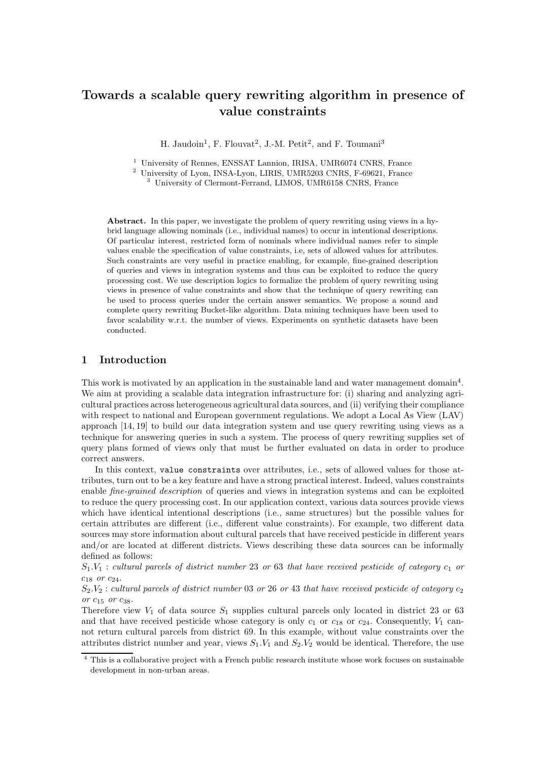# Towards a scalable query rewriting algorithm in presence of value constraints

H. Jaudoin<sup>1</sup>, F. Flouvat<sup>2</sup>, J.-M. Petit<sup>2</sup>, and F. Toumani<sup>3</sup>

<sup>1</sup> University of Rennes, ENSSAT Lannion, IRISA, UMR6074 CNRS, France

 $^2\,$  University of Lyon, INSA-Lyon, LIRIS, UMR5203 CNRS, F-69621, France

<sup>3</sup> University of Clermont-Ferrand, LIMOS, UMR6158 CNRS, France

Abstract. In this paper, we investigate the problem of query rewriting using views in a hybrid language allowing nominals (i.e., individual names) to occur in intentional descriptions. Of particular interest, restricted form of nominals where individual names refer to simple values enable the specification of value constraints, i.e, sets of allowed values for attributes. Such constraints are very useful in practice enabling, for example, fine-grained description of queries and views in integration systems and thus can be exploited to reduce the query processing cost. We use description logics to formalize the problem of query rewriting using views in presence of value constraints and show that the technique of query rewriting can be used to process queries under the certain answer semantics. We propose a sound and complete query rewriting Bucket-like algorithm. Data mining techniques have been used to favor scalability w.r.t. the number of views. Experiments on synthetic datasets have been conducted.

## 1 Introduction

This work is motivated by an application in the sustainable land and water management domain<sup>4</sup>. We aim at providing a scalable data integration infrastructure for: (i) sharing and analyzing agricultural practices across heterogeneous agricultural data sources, and (ii) verifying their compliance with respect to national and European government regulations. We adopt a Local As View (LAV) approach [14, 19] to build our data integration system and use query rewriting using views as a technique for answering queries in such a system. The process of query rewriting supplies set of query plans formed of views only that must be further evaluated on data in order to produce correct answers.

In this context, value constraints over attributes, i.e., sets of allowed values for those attributes, turn out to be a key feature and have a strong practical interest. Indeed, values constraints enable fine-grained description of queries and views in integration systems and can be exploited to reduce the query processing cost. In our application context, various data sources provide views which have identical intentional descriptions (i.e., same structures) but the possible values for certain attributes are different (i.e., different value constraints). For example, two different data sources may store information about cultural parcels that have received pesticide in different years and/or are located at different districts. Views describing these data sources can be informally defined as follows:

 $S_1.V_1$ : cultural parcels of district number 23 or 63 that have received pesticide of category  $c_1$  or  $c_{18}$  or  $c_{24}$ .

 $S_2.V_2$ : cultural parcels of district number 03 or 26 or 43 that have received pesticide of category  $c_2$ or c<sup>15</sup> or c38.

Therefore view  $V_1$  of data source  $S_1$  supplies cultural parcels only located in district 23 or 63 and that have received pesticide whose category is only  $c_1$  or  $c_{18}$  or  $c_{24}$ . Consequently,  $V_1$  cannot return cultural parcels from district 69. In this example, without value constraints over the attributes district number and year, views  $S_1.V_1$  and  $S_2.V_2$  would be identical. Therefore, the use

<sup>4</sup> This is a collaborative project with a French public research institute whose work focuses on sustainable development in non-urban areas.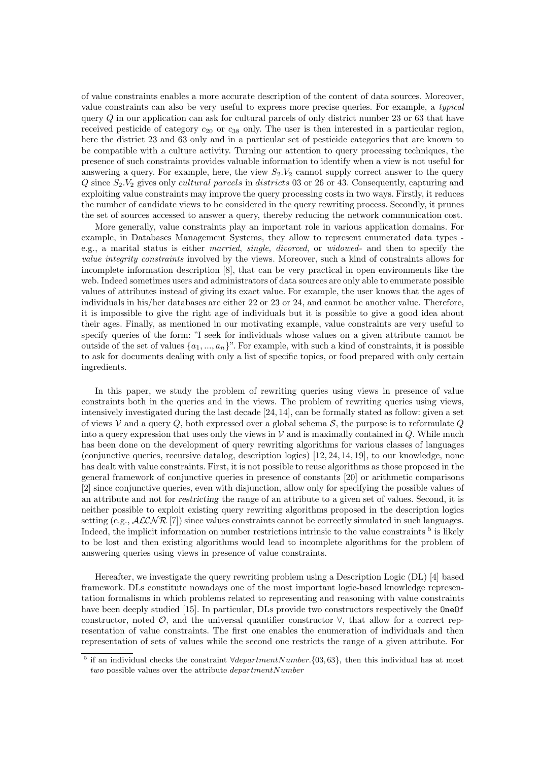of value constraints enables a more accurate description of the content of data sources. Moreover, value constraints can also be very useful to express more precise queries. For example, a typical query  $Q$  in our application can ask for cultural parcels of only district number 23 or 63 that have received pesticide of category  $c_{20}$  or  $c_{38}$  only. The user is then interested in a particular region, here the district 23 and 63 only and in a particular set of pesticide categories that are known to be compatible with a culture activity. Turning our attention to query processing techniques, the presence of such constraints provides valuable information to identify when a view is not useful for answering a query. For example, here, the view  $S_2.V_2$  cannot supply correct answer to the query  $Q$  since  $S_2.V_2$  gives only *cultural parcels* in *districts* 03 or 26 or 43. Consequently, capturing and exploiting value constraints may improve the query processing costs in two ways. Firstly, it reduces the number of candidate views to be considered in the query rewriting process. Secondly, it prunes the set of sources accessed to answer a query, thereby reducing the network communication cost.

More generally, value constraints play an important role in various application domains. For example, in Databases Management Systems, they allow to represent enumerated data types e.g., a marital status is either married, single, divorced, or widowed- and then to specify the value integrity constraints involved by the views. Moreover, such a kind of constraints allows for incomplete information description [8], that can be very practical in open environments like the web. Indeed sometimes users and administrators of data sources are only able to enumerate possible values of attributes instead of giving its exact value. For example, the user knows that the ages of individuals in his/her databases are either 22 or 23 or 24, and cannot be another value. Therefore, it is impossible to give the right age of individuals but it is possible to give a good idea about their ages. Finally, as mentioned in our motivating example, value constraints are very useful to specify queries of the form: "I seek for individuals whose values on a given attribute cannot be outside of the set of values  $\{a_1, ..., a_n\}$ ". For example, with such a kind of constraints, it is possible to ask for documents dealing with only a list of specific topics, or food prepared with only certain ingredients.

In this paper, we study the problem of rewriting queries using views in presence of value constraints both in the queries and in the views. The problem of rewriting queries using views, intensively investigated during the last decade [24, 14], can be formally stated as follow: given a set of views V and a query Q, both expressed over a global schema  $S$ , the purpose is to reformulate Q into a query expression that uses only the views in  $V$  and is maximally contained in  $Q$ . While much has been done on the development of query rewriting algorithms for various classes of languages (conjunctive queries, recursive datalog, description logics) [12, 24, 14, 19], to our knowledge, none has dealt with value constraints. First, it is not possible to reuse algorithms as those proposed in the general framework of conjunctive queries in presence of constants [20] or arithmetic comparisons [2] since conjunctive queries, even with disjunction, allow only for specifying the possible values of an attribute and not for restricting the range of an attribute to a given set of values. Second, it is neither possible to exploit existing query rewriting algorithms proposed in the description logics setting (e.g.,  $ALCNR$  [7]) since values constraints cannot be correctly simulated in such languages. Indeed, the implicit information on number restrictions intrinsic to the value constraints  $5$  is likely to be lost and then existing algorithms would lead to incomplete algorithms for the problem of answering queries using views in presence of value constraints.

Hereafter, we investigate the query rewriting problem using a Description Logic (DL) [4] based framework. DLs constitute nowadays one of the most important logic-based knowledge representation formalisms in which problems related to representing and reasoning with value constraints have been deeply studied [15]. In particular, DLs provide two constructors respectively the 0ne0f constructor, noted  $\mathcal{O}$ , and the universal quantifier constructor  $\forall$ , that allow for a correct representation of value constraints. The first one enables the enumeration of individuals and then representation of sets of values while the second one restricts the range of a given attribute. For

<sup>5</sup> if an individual checks the constraint ∀departmentNumber.{03, 63}, then this individual has at most two possible values over the attribute  $departmentNumber$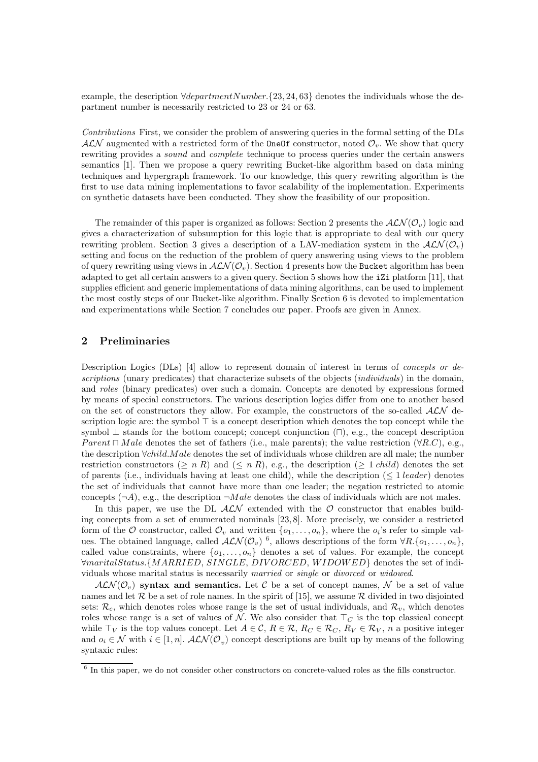example, the description  $\forall departmentNumber.$ {23, 24, 63} denotes the individuals whose the department number is necessarily restricted to 23 or 24 or 63.

Contributions First, we consider the problem of answering queries in the formal setting of the DLs  $ALN$  augmented with a restricted form of the **OneOf** constructor, noted  $\mathcal{O}_v$ . We show that query rewriting provides a sound and complete technique to process queries under the certain answers semantics [1]. Then we propose a query rewriting Bucket-like algorithm based on data mining techniques and hypergraph framework. To our knowledge, this query rewriting algorithm is the first to use data mining implementations to favor scalability of the implementation. Experiments on synthetic datasets have been conducted. They show the feasibility of our proposition.

The remainder of this paper is organized as follows: Section 2 presents the  $ALN(\mathcal{O}_v)$  logic and gives a characterization of subsumption for this logic that is appropriate to deal with our query rewriting problem. Section 3 gives a description of a LAV-mediation system in the  $ALN(\mathcal{O}_v)$ setting and focus on the reduction of the problem of query answering using views to the problem of query rewriting using views in  $\mathcal{ALN}(\mathcal{O}_n)$ . Section 4 presents how the Bucket algorithm has been adapted to get all certain answers to a given query. Section 5 shows how the iZi platform [11], that supplies efficient and generic implementations of data mining algorithms, can be used to implement the most costly steps of our Bucket-like algorithm. Finally Section 6 is devoted to implementation and experimentations while Section 7 concludes our paper. Proofs are given in Annex.

## 2 Preliminaries

Description Logics (DLs) [4] allow to represent domain of interest in terms of *concepts or de*scriptions (unary predicates) that characterize subsets of the objects *(individuals)* in the domain, and roles (binary predicates) over such a domain. Concepts are denoted by expressions formed by means of special constructors. The various description logics differ from one to another based on the set of constructors they allow. For example, the constructors of the so-called  $\mathcal{ALN}$  description logic are: the symbol ⊤ is a concept description which denotes the top concept while the symbol  $\perp$  stands for the bottom concept; concept conjunction ( $\sqcap$ ), e.g., the concept description *Parent*  $\sqcap$  *Male* denotes the set of fathers (i.e., male parents); the value restriction ( $\forall R.C$ ), e.g., the description ∀child.M ale denotes the set of individuals whose children are all male; the number restriction constructors ( $\geq n R$ ) and ( $\leq n R$ ), e.g., the description ( $\geq 1$  child) denotes the set of parents (i.e., individuals having at least one child), while the description ( $\leq 1$  leader) denotes the set of individuals that cannot have more than one leader; the negation restricted to atomic concepts  $(\neg A)$ , e.g., the description  $\neg Male$  denotes the class of individuals which are not males.

In this paper, we use the DL  $ALN$  extended with the  $\mathcal O$  constructor that enables building concepts from a set of enumerated nominals [23, 8]. More precisely, we consider a restricted form of the  $\mathcal O$  constructor, called  $\mathcal O_v$  and written  $\{o_1,\ldots,o_n\}$ , where the  $o_i$ 's refer to simple values. The obtained language, called  $\mathcal{ALN}(\mathcal{O}_v)$ <sup>6</sup>, allows descriptions of the form  $\forall R$ .  $\{o_1, \ldots, o_n\}$ , called value constraints, where  $\{o_1, \ldots, o_n\}$  denotes a set of values. For example, the concept ∀maritalStatus.{MARRIED, SINGLE, DIV ORCED, W IDOW ED} denotes the set of individuals whose marital status is necessarily married or single or divorced or widowed.

 $ALN(\mathcal{O}_v)$  syntax and semantics. Let C be a set of concept names, N be a set of value names and let  $\mathcal R$  be a set of role names. In the spirit of [15], we assume  $\mathcal R$  divided in two disjointed sets:  $\mathcal{R}_c$ , which denotes roles whose range is the set of usual individuals, and  $\mathcal{R}_v$ , which denotes roles whose range is a set of values of N. We also consider that  $\top_C$  is the top classical concept while  $\top_V$  is the top values concept. Let  $A \in \mathcal{C}$ ,  $R \in \mathcal{R}$ ,  $R_C \in \mathcal{R}_C$ ,  $R_V \in \mathcal{R}_V$ , n a positive integer and  $o_i \in \mathcal{N}$  with  $i \in [1, n]$ .  $ALN(\mathcal{O}_v)$  concept descriptions are built up by means of the following syntaxic rules:

 $6$  In this paper, we do not consider other constructors on concrete-valued roles as the fills constructor.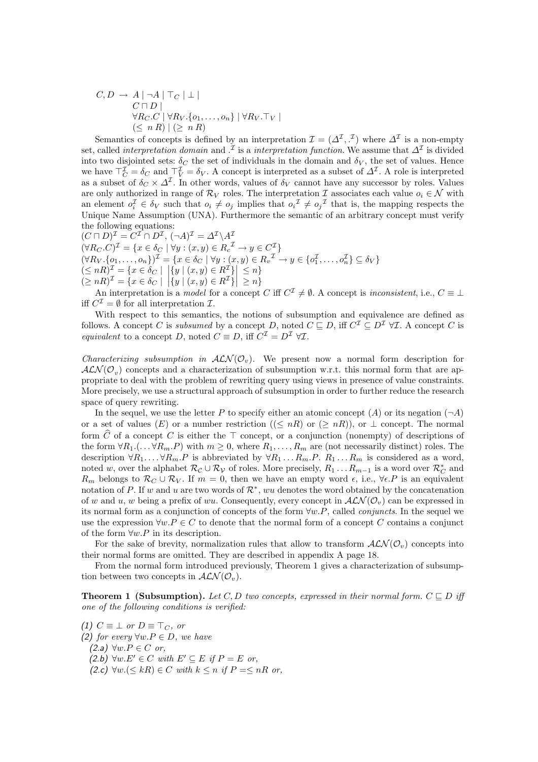$$
C, D \rightarrow A \mid \neg A \mid \top_C \mid \bot \mid
$$
  
\n
$$
C \sqcap D \mid
$$
  
\n
$$
\forall R_C.C \mid \forall R_V.\{o_1, \dots, o_n\} \mid \forall R_V.\top_V \mid
$$
  
\n
$$
(\leq n R) \mid (\geq n R)
$$

Semantics of concepts is defined by an interpretation  $\mathcal{I} = (\Delta^{\mathcal{I}}, \mathcal{I})$  where  $\Delta^{\mathcal{I}}$  is a non-empty set, called *interpretation domain* and  $\cdot$ <sup>*I*</sup> is a *interpretation function*. We assume that  $\Delta$ <sup>*I*</sup> is divided into two disjointed sets:  $\delta_C$  the set of individuals in the domain and  $\delta_V$ , the set of values. Hence we have  $\bigcap_{C}^{\mathcal{I}} = \delta_C$  and  $\bigcap_{V}^{\mathcal{I}} = \delta_V$ . A concept is interpreted as a subset of  $\Delta^{\mathcal{I}}$ . A role is interpreted as a subset of  $\delta_C \times \Delta^{\mathcal{I}}$ . In other words, values of  $\delta_V$  cannot have any successor by roles. Values are only authorized in range of  $\mathcal{R}_V$  roles. The interpretation I associates each value  $o_i \in \mathcal{N}$  with an element  $o_i^{\mathcal{I}} \in \delta_V$  such that  $o_i \neq o_j$  implies that  $o_i^{\mathcal{I}} \neq o_j^{\mathcal{I}}$  that is, the mapping respects the Unique Name Assumption (UNA). Furthermore the semantic of an arbitrary concept must verify the following equations:

 $(C\sqcap D)^{\mathcal{I}}=C^{\mathcal{I}}\cap D^{\mathcal{I}},\,(\neg A)^{\mathcal{I}}=\varDelta^{\mathcal{I}}\backslash A^{\mathcal{I}}$  $(\forall R_C.C)^{\mathcal{I}} = \{x \in \delta_C \mid \forall y : (x, y) \in R_c^{\mathcal{I}} \rightarrow y \in C^{\mathcal{I}}\}$  $(\forall R_V \cdot \{o_1, \ldots, o_n\})^{\mathcal{I}} = \{x \in \delta_C \mid \forall y : (x, y) \in R_v^{\mathcal{I}} \rightarrow y \in \{o_1^{\mathcal{I}}, \ldots, o_n^{\mathcal{I}}\} \subseteq \delta_V\}$  $(\leq nR)^{\mathcal{I}} = \{x \in \delta_C \mid |\{y \mid (x,y) \in R^{\mathcal{I}}\}| \leq n\}$  $(\geq nR)^{\mathcal{I}} = \{x \in \delta_C \mid \left|\left\{y \mid (x,y) \in R^{\mathcal{I}}\right\}\right| \geq n\} \right|$ 

An interpretation is a *model* for a concept C iff  $C^{\mathcal{I}} \neq \emptyset$ . A concept is *inconsistent*, i.e.,  $C \equiv \bot$ iff  $C^{\mathcal{I}} = \emptyset$  for all interpretation  $\mathcal{I}$ .

With respect to this semantics, the notions of subsumption and equivalence are defined as follows. A concept C is subsumed by a concept D, noted  $C \sqsubseteq D$ , iff  $C^{\mathcal{I}} \subseteq D^{\mathcal{I}} \forall \mathcal{I}$ . A concept C is equivalent to a concept D, noted  $C \equiv D$ , iff  $C^{\mathcal{I}} = D^{\mathcal{I}} \ \forall \mathcal{I}$ .

*Characterizing subsumption in*  $ALN(\mathcal{O}_v)$ *.* We present now a normal form description for  $ALN(O_v)$  concepts and a characterization of subsumption w.r.t. this normal form that are appropriate to deal with the problem of rewriting query using views in presence of value constraints. More precisely, we use a structural approach of subsumption in order to further reduce the research space of query rewriting.

In the sequel, we use the letter P to specify either an atomic concept (A) or its negation  $(\neg A)$ or a set of values (E) or a number restriction  $((\leq nR)$  or  $(\geq nR)$ ), or  $\perp$  concept. The normal form  $\widehat{C}$  of a concept C is either the ⊤ concept, or a conjunction (nonempty) of descriptions of the form  $\forall R_1 \dots \forall R_m \dots P$ ) with  $m \geq 0$ , where  $R_1, \dots, R_m$  are (not necessarily distinct) roles. The description  $\forall R_1 \ldots \forall R_m \ldotp P$  is abbreviated by  $\forall R_1 \ldots R_m \ldotp P$ .  $R_1 \ldots R_m$  is considered as a word, noted w, over the alphabet  $\mathcal{R}_{\mathcal{C}} \cup \mathcal{R}_{\mathcal{V}}$  of roles. More precisely,  $R_1 \dots R_{m-1}$  is a word over  $\mathcal{R}_{\mathcal{C}}^*$  and  $R_m$  belongs to  $\mathcal{R}_C \cup \mathcal{R}_V$ . If  $m = 0$ , then we have an empty word  $\epsilon$ , i.e.,  $\forall \epsilon P$  is an equivalent notation of P. If w and u are two words of  $\mathcal{R}^*$ , wu denotes the word obtained by the concatenation of w and u, w being a prefix of wu. Consequently, every concept in  $\mathcal{ALN}(\mathcal{O}_n)$  can be expressed in its normal form as a conjunction of concepts of the form  $\forall w.P$ , called *conjuncts*. In the sequel we use the expression  $\forall w.P \in C$  to denote that the normal form of a concept C contains a conjunct of the form  $\forall w.P$  in its description.

For the sake of brevity, normalization rules that allow to transform  $\mathcal{ALN}(\mathcal{O}_v)$  concepts into their normal forms are omitted. They are described in appendix A page 18.

From the normal form introduced previously, Theorem 1 gives a characterization of subsumption between two concepts in  $ALN(\mathcal{O}_v)$ .

**Theorem 1 (Subsumption).** Let C, D two concepts, expressed in their normal form.  $C \sqsubseteq D$  iff one of the following conditions is verified:

(1)  $C \equiv \perp$  or  $D \equiv \top_C$ , or (2) for every  $\forall w.P \in D$ , we have  $(2.a)$   $\forall w.P \in C$  or,  $(2.b)$   $\forall w.E' \in C$  with  $E' \subseteq E$  if  $P = E$  or, (2.c)  $\forall w.$   $\leq kR$ )  $\in$  C with  $k \leq n$  if  $P \leq nR$  or,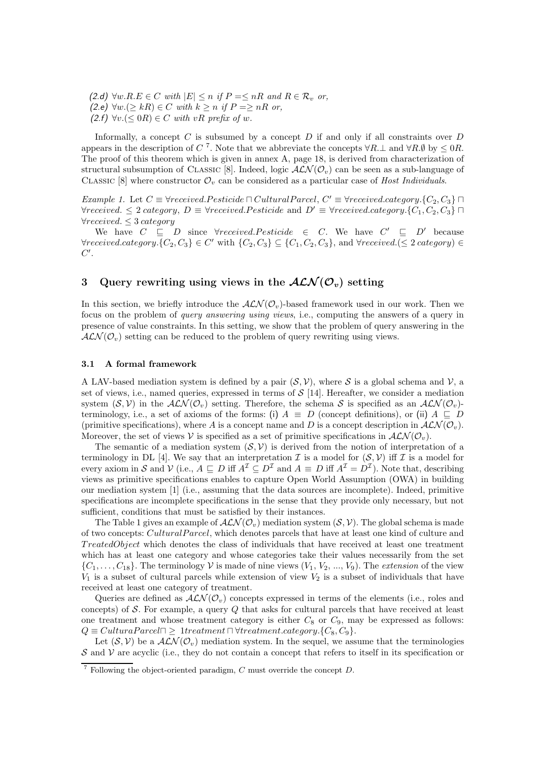(2.d)  $\forall w.R.E \in C \text{ with } |E| \leq n \text{ if } P = \leq nR \text{ and } R \in \mathcal{R}_v \text{ or,}$  $(2.e)$   $\forall w.$   $(> kR) \in C$  with  $k > n$  if  $P \Rightarrow nR$  or,  $(2.f)$   $\forall v.$  (< 0R)  $\in$  C with vR prefix of w.

Informally, a concept C is subsumed by a concept  $D$  if and only if all constraints over  $D$ appears in the description of C<sup>7</sup>. Note that we abbreviate the concepts  $\forall R \perp$  and  $\forall R \emptyset$  by  $\leq 0R$ . The proof of this theorem which is given in annex A, page 18, is derived from characterization of structural subsumption of CLASSIC [8]. Indeed, logic  $\mathcal{AN}(\mathcal{O}_v)$  can be seen as a sub-language of CLASSIC [8] where constructor  $\mathcal{O}_v$  can be considered as a particular case of *Host Individuals*.

*Example 1.* Let  $C \equiv \forall received.Pesticide \sqcap Cultural Parcel, C' \equiv \forall received.categorical, C_2, C_3$   $\sqcap$  $\forall received. \leq 2 \text{ category}, D \equiv \forall received. \text{Pesticide} \text{ and } D' \equiv \forall received. \text{categorical} \{C_1, C_2, C_3\} \sqcap$  $\forall received. \leq 3 category$ 

We have  $C \subseteq D$  since  $\forall received.Pesticide \in C$ . We have  $C' \subseteq D'$  because  $\forall received. category.\{C_2, C_3\} \in C' \text{ with } \{C_2, C_3\} \subseteq \{C_1, C_2, C_3\}, \text{ and } \forall received. (\leq 2 \text{ category}) \in C' \text{ with } \{C_2, C_3\} \subseteq \{C_1, C_2, C_3\}$  $C'.$ 

## 3 Query rewriting using views in the  $ALN(\mathcal{O}_v)$  setting

In this section, we briefly introduce the  $\mathcal{ALN}(\mathcal{O}_v)$ -based framework used in our work. Then we focus on the problem of query answering using views, i.e., computing the answers of a query in presence of value constraints. In this setting, we show that the problem of query answering in the  $ALN(\mathcal{O}_v)$  setting can be reduced to the problem of query rewriting using views.

#### 3.1 A formal framework

A LAV-based mediation system is defined by a pair  $(S, V)$ , where S is a global schema and V, a set of views, i.e., named queries, expressed in terms of  $S$  [14]. Hereafter, we consider a mediation system  $(S, V)$  in the  $ALN(\mathcal{O}_n)$  setting. Therefore, the schema S is specified as an  $ALN(\mathcal{O}_n)$ terminology, i.e., a set of axioms of the forms: (i)  $A \equiv D$  (concept definitions), or (ii)  $A \subseteq D$ (primitive specifications), where A is a concept name and D is a concept description in  $ALN(\mathcal{O}_v)$ . Moreover, the set of views V is specified as a set of primitive specifications in  $\mathcal{ALN}(\mathcal{O}_v)$ .

The semantic of a mediation system  $(S, V)$  is derived from the notion of interpretation of a terminology in DL [4]. We say that an interpretation  $\mathcal I$  is a model for  $(S, \mathcal V)$  iff  $\mathcal I$  is a model for every axiom in S and V (i.e.,  $A \subseteq D$  iff  $A^{\mathcal{I}} \subseteq D^{\mathcal{I}}$  and  $A \equiv D$  iff  $A^{\mathcal{I}} = D^{\mathcal{I}}$ ). Note that, describing views as primitive specifications enables to capture Open World Assumption (OWA) in building our mediation system [1] (i.e., assuming that the data sources are incomplete). Indeed, primitive specifications are incomplete specifications in the sense that they provide only necessary, but not sufficient, conditions that must be satisfied by their instances.

The Table 1 gives an example of  $\mathcal{ALN}(\mathcal{O}_v)$  mediation system  $(S, \mathcal{V})$ . The global schema is made of two concepts: Cultural Parcel, which denotes parcels that have at least one kind of culture and TreatedObject which denotes the class of individuals that have received at least one treatment which has at least one category and whose categories take their values necessarily from the set  $\{C_1,\ldots,C_{18}\}\.$  The terminology V is made of nine views  $(V_1,V_2,\ldots,V_9)$ . The extension of the view  $V_1$  is a subset of cultural parcels while extension of view  $V_2$  is a subset of individuals that have received at least one category of treatment.

Queries are defined as  $ALN(\mathcal{O}_v)$  concepts expressed in terms of the elements (i.e., roles and concepts) of  $S$ . For example, a query  $Q$  that asks for cultural parcels that have received at least one treatment and whose treatment category is either  $C_8$  or  $C_9$ , may be expressed as follows:  $Q \equiv Cultural Parcell \geq 1$ treatment  $\Box$ ∀treatment.category.{C<sub>8</sub>, C<sub>9</sub>}.

Let  $(S, V)$  be a  $ALN(\mathcal{O}_v)$  mediation system. In the sequel, we assume that the terminologies  $\mathcal S$  and  $\mathcal V$  are acyclic (i.e., they do not contain a concept that refers to itself in its specification or

 $^7$  Following the object-oriented paradigm, C must override the concept D.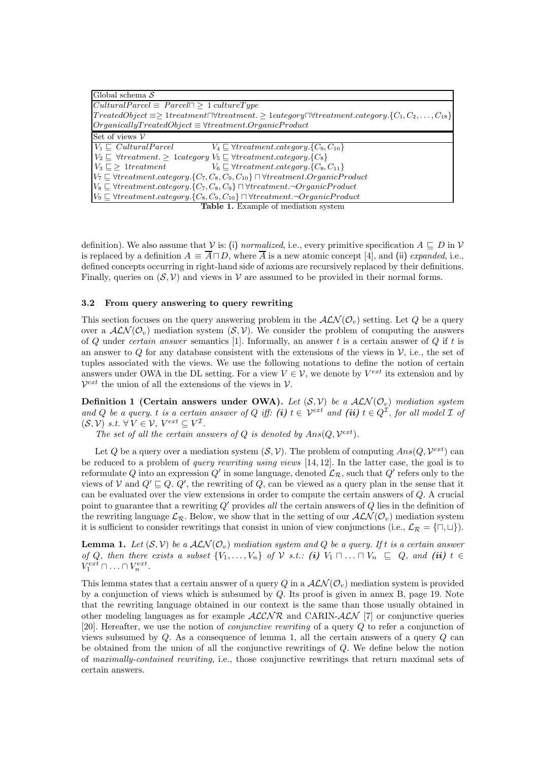| Global schema $\mathcal S$                                                                                                                 |  |  |  |  |
|--------------------------------------------------------------------------------------------------------------------------------------------|--|--|--|--|
| $CulturalParcel \equiv Parel \sqcap \geq 1 \, cultureType$                                                                                 |  |  |  |  |
| $TreatedObject \equiv \geq 1treatment \Box \forall treatment. \geq 1categy \Box \forall treatment. category \{C_1, C_2, \ldots, C_{18}\}\$ |  |  |  |  |
| $Oqaniically TreatedObject \equiv \forall treatment. Organization$                                                                         |  |  |  |  |
| Set of views $V$                                                                                                                           |  |  |  |  |
| $V_1 \sqsubset \textit{CulturalP}$ arcel<br>$V_4 \sqsubset \forall treatment. category. \{C_9, C_{10}\}\$                                  |  |  |  |  |
| $V_2 \sqsubseteq \forall treatment. \geq 1 category \ V_5 \sqsubseteq \forall treatment. category. \{C_8\}$                                |  |  |  |  |
| $V_6 \sqsubseteq \forall treatment.category.\{C_8, C_{11}\}\$<br>$V_3 \rightharpoonup$ 1 treatment                                         |  |  |  |  |
| $V_7 \sqsubseteq \forall treatment. category.\{C_7, C_8, C_9, C_{10}\} \sqcap \forall treatment. OrganicProduct$                           |  |  |  |  |
| $V_8 \sqsubseteq \forall treatment. category. \{C_7, C_8, C_9\} \sqcap \forall treatment. \neg Organization. \neg Organization.$           |  |  |  |  |
| $ V_9 \sqsubseteq \forall treatment. category. \{C_8, C_9, C_{10}\} \sqcap \forall treatment. \neg Organization. \neg Organization.$       |  |  |  |  |
| Table 1. Example of mediation system                                                                                                       |  |  |  |  |

definition). We also assume that V is: (i) normalized, i.e., every primitive specification  $A \subseteq D$  in V is replaced by a definition  $A = \overline{A} \sqcap D$ , where  $\overline{A}$  is a new atomic concept [4], and (ii) *expanded*, i.e., defined concepts occurring in right-hand side of axioms are recursively replaced by their definitions. Finally, queries on  $(S, V)$  and views in V are assumed to be provided in their normal forms.

#### 3.2 From query answering to query rewriting

This section focuses on the query answering problem in the  $ALN(\mathcal{O}_v)$  setting. Let Q be a query over a  $ALN(\mathcal{O}_v)$  mediation system  $(S, V)$ . We consider the problem of computing the answers of Q under certain answer semantics [1]. Informally, an answer t is a certain answer of Q if t is an answer to Q for any database consistent with the extensions of the views in  $\mathcal{V}$ , i.e., the set of tuples associated with the views. We use the following notations to define the notion of certain answers under OWA in the DL setting. For a view  $V \in \mathcal{V}$ , we denote by  $V^{ext}$  its extension and by  $\mathcal{V}^{ext}$  the union of all the extensions of the views in  $\mathcal{V}$ .

Definition 1 (Certain answers under OWA). Let  $(S, V)$  be a  $ALN(\mathcal{O}_v)$  mediation system and Q be a query. t is a certain answer of Q iff: (i)  $t \in \mathcal{V}^{ext}$  and (ii)  $t \in Q^{\mathcal{I}}$ , for all model  $\mathcal I$  of  $(\mathcal{S}, \mathcal{V})$  s.t.  $\forall V \in \mathcal{V}, V^{ext} \subseteq V^{\mathcal{I}}$ .

The set of all the certain answers of Q is denoted by  $Ans(Q, V^{ext})$ .

Let Q be a query over a mediation system  $(S, V)$ . The problem of computing  $Ans(Q, V^{ext})$  can be reduced to a problem of query rewriting using views [14, 12]. In the latter case, the goal is to reformulate  $Q$  into an expression  $Q'$  in some language, denoted  $\mathcal{L}_\mathcal{R}$ , such that  $Q'$  refers only to the views of V and  $Q' \sqsubseteq Q$ .  $Q'$ , the rewriting of Q, can be viewed as a query plan in the sense that it can be evaluated over the view extensions in order to compute the certain answers of Q. A crucial point to guarantee that a rewriting  $Q'$  provides all the certain answers of  $Q$  lies in the definition of the rewriting language  $\mathcal{L}_{\mathcal{R}}$ . Below, we show that in the setting of our  $\mathcal{ALN}(\mathcal{O}_v)$  mediation system it is sufficient to consider rewritings that consist in union of view conjunctions (i.e.,  $\mathcal{L}_{\mathcal{R}} = \{\sqcap, \sqcup\}$ ).

**Lemma 1.** Let  $(S, V)$  be a  $ALN(\mathcal{O}_v)$  mediation system and Q be a query. If t is a certain answer of Q, then there exists a subset  $\{V_1, \ldots, V_n\}$  of  $\mathcal V$  s.t.: (i)  $V_1 \sqcap \ldots \sqcap V_n \sqsubseteq Q$ , and (ii)  $t \in$  $V_1^{ext} \cap \ldots \cap V_n^{ext}.$ 

This lemma states that a certain answer of a query Q in a  $ALN(\mathcal{O}_v)$  mediation system is provided by a conjunction of views which is subsumed by Q. Its proof is given in annex B, page 19. Note that the rewriting language obtained in our context is the same than those usually obtained in other modeling languages as for example  $ALCNR$  and CARIN- $ALN$  [7] or conjunctive queries [20]. Hereafter, we use the notion of conjunctive rewriting of a query Q to refer a conjunction of views subsumed by Q. As a consequence of lemma 1, all the certain answers of a query Q can be obtained from the union of all the conjunctive rewritings of Q. We define below the notion of maximally-contained rewriting, i.e., those conjunctive rewritings that return maximal sets of certain answers.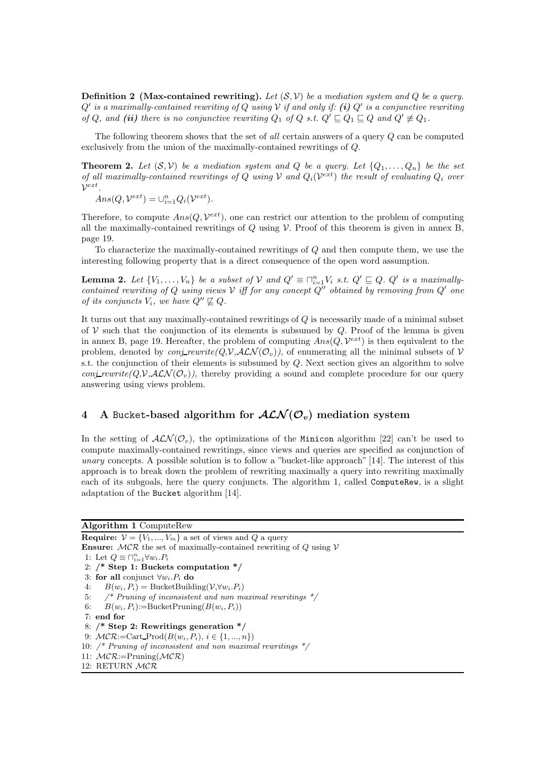**Definition 2** (Max-contained rewriting). Let  $(S, V)$  be a mediation system and Q be a query.  $Q'$  is a maximally-contained rewriting of  $Q$  using  $V$  if and only if: (i)  $Q'$  is a conjunctive rewriting of Q, and (ii) there is no conjunctive rewriting  $Q_1$  of  $Q$  s.t.  $Q' \sqsubseteq Q_1 \sqsubseteq Q$  and  $Q' \not\equiv Q_1$ .

The following theorem shows that the set of all certain answers of a query Q can be computed exclusively from the union of the maximally-contained rewritings of Q.

**Theorem 2.** Let  $(S, V)$  be a mediation system and Q be a query. Let  $\{Q_1, \ldots, Q_n\}$  be the set of all maximally-contained rewritings of Q using V and  $Q_i(\mathcal{V}^{ext})$  the result of evaluating  $Q_i$  over  $\mathcal{V}^{ext}$ .

 $Ans(Q, V^{ext}) = \bigcup_{i=1}^{n} Q_i(V^{ext}).$ 

Therefore, to compute  $Ans(Q, V^{ext})$ , one can restrict our attention to the problem of computing all the maximally-contained rewritings of  $Q$  using  $\mathcal V$ . Proof of this theorem is given in annex B, page 19.

To characterize the maximally-contained rewritings of Q and then compute them, we use the interesting following property that is a direct consequence of the open word assumption.

**Lemma 2.** Let  $\{V_1, \ldots, V_n\}$  be a subset of  $V$  and  $Q' \equiv \bigcap_{i=1}^n V_i$  s.t.  $Q' \sqsubseteq Q$ .  $Q'$  is a maximallycontained rewriting of Q using views  $V$  iff for any concept  $Q''$  obtained by removing from  $Q'$  one of its conjuncts  $V_i$ , we have  $Q'' \not\sqsubseteq Q$ .

It turns out that any maximally-contained rewritings of  $Q$  is necessarily made of a minimal subset of  $V$  such that the conjunction of its elements is subsumed by Q. Proof of the lemma is given in annex B, page 19. Hereafter, the problem of computing  $Ans(Q, V^{ext})$  is then equivalent to the problem, denoted by  $conj\_rewrite(Q, V, \mathcal{ALN}(O_v))$ , of enumerating all the minimal subsets of V s.t. the conjunction of their elements is subsumed by Q. Next section gives an algorithm to solve conj rewrite  $(Q, V, \mathcal{A}LN(\mathcal{O}_n))$ , thereby providing a sound and complete procedure for our query answering using views problem.

## 4 A Bucket-based algorithm for  $ALN(\mathcal{O}_v)$  mediation system

In the setting of  $ALN(\mathcal{O}_v)$ , the optimizations of the Minicon algorithm [22] can't be used to compute maximally-contained rewritings, since views and queries are specified as conjunction of unary concepts. A possible solution is to follow a "bucket-like approach" [14]. The interest of this approach is to break down the problem of rewriting maximally a query into rewriting maximally each of its subgoals, here the query conjuncts. The algorithm 1, called ComputeRew, is a slight adaptation of the Bucket algorithm [14].

## Algorithm 1 ComputeRew

**Require:**  $V = \{V_1, ..., V_m\}$  a set of views and Q a query **Ensure:**  $MCR$  the set of maximally-contained rewriting of Q using  $V$ 1: Let  $Q \equiv \bigcap_{i=1}^n \forall w_i P_i$ 2: /\* Step 1: Buckets computation \*/ 3: for all conjunct  $\forall w_i.P_i$  do 4:  $B(w_i, P_i) = \text{BucketBuilding}(\mathcal{V}, \forall w_i, P_i)$ 5: /\* Pruning of inconsistent and non maximal rewritings \*/ 6:  $B(w_i, P_i)$ :=BucketPruning( $B(w_i, P_i)$ ) 7: end for 8: /\* Step 2: Rewritings generation \*/ 9:  $\mathcal{MCR}:= \text{Cart\_Prod}(B(w_i, P_i), i \in \{1, ..., n\})$ 10:  $\frac{1}{2}$  Pruning of inconsistent and non maximal rewritings  $\frac{1}{2}$ 11:  $MCR$ :=Pruning( $MCR$ ) 12: RETURN MCR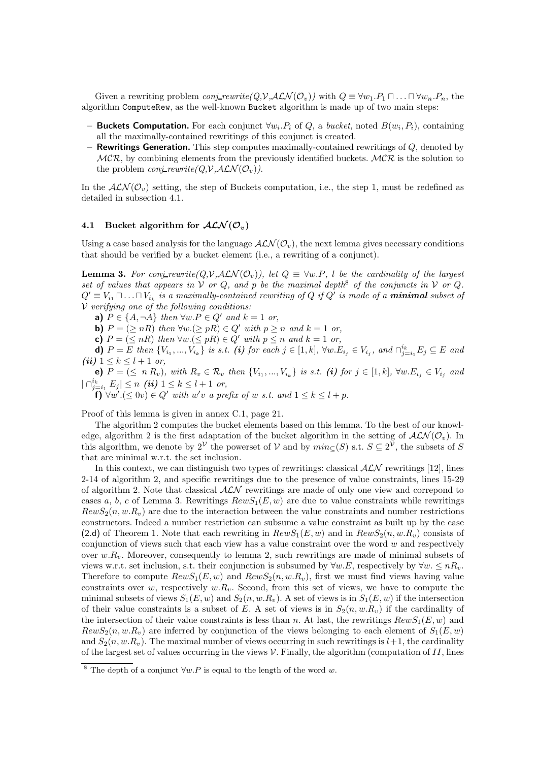Given a rewriting problem  $con\_rewrite(Q, V, \mathcal{AN}(Q_n))$  with  $Q \equiv \forall w_1, P_1 \sqcap \ldots \sqcap \forall w_n, P_n$ , the algorithm ComputeRew, as the well-known Bucket algorithm is made up of two main steps:

- Buckets Computation. For each conjunct  $\forall w_i.P_i$  of Q, a bucket, noted  $B(w_i, P_i)$ , containing all the maximally-contained rewritings of this conjunct is created.
- **Rewritings Generation.** This step computes maximally-contained rewritings of  $Q$ , denoted by  $MCR$ , by combining elements from the previously identified buckets.  $MCR$  is the solution to the problem *conj\_rewrite(Q,V,ALN(* $O<sub>v</sub>$ *)*).

In the  $ALN(\mathcal{O}_v)$  setting, the step of Buckets computation, i.e., the step 1, must be redefined as detailed in subsection 4.1.

#### 4.1 Bucket algorithm for  $ALN(\mathcal{O}_v)$

Using a case based analysis for the language  $\mathcal{ALN}(\mathcal{O}_v)$ , the next lemma gives necessary conditions that should be verified by a bucket element (i.e., a rewriting of a conjunct).

**Lemma 3.** For conj\_rewrite(Q,V, $ALN(\mathcal{O}_v)$ ), let  $Q \equiv \forall w.P$ , l be the cardinality of the largest set of values that appears in  $V$  or  $Q$ , and  $p$  be the maximal depth<sup>8</sup> of the conjuncts in  $V$  or  $Q$ .  $Q' \equiv V_{i_1} \sqcap \ldots \sqcap V_{i_k}$  is a maximally-contained rewriting of Q if  $Q'$  is made of a **minimal** subset of  $V$  verifying one of the following conditions:

a)  $P \in \{A, \neg A\}$  then  $\forall w.P \in Q'$  and  $k = 1$  or,

**b)**  $P = (\geq nR)$  then  $\forall w. (\geq pR) \in Q'$  with  $p \geq n$  and  $k = 1$  or,

c)  $P = (\leq nR)$  then  $\forall w . (\leq pR) \in Q'$  with  $p \leq n$  and  $k = 1$  or,

**d)**  $P = E$  then  $\{V_{i_1},...,V_{i_k}\}$  is s.t. (i) for each  $j \in [1,k]$ ,  $\forall w.E_{i_j} \in V_{i_j}$ , and  $\cap_{j=i_1}^{i_k} E_j \subseteq E$  and (ii)  $1 \leq k \leq l+1$  or,

**e)**  $P = (\leq n \ R_v)$ , with  $R_v \in \mathcal{R}_v$  then  $\{V_{i_1},...,V_{i_k}\}$  is s.t. (i) for  $j \in [1, k]$ ,  $\forall w.E_{i_j} \in V_{i_j}$  and  $|\bigcap_{j=i_1}^{i_k} E_j| \leq n$  (ii)  $1 \leq k \leq l+1$  or,

f)  $\forall w'. (\leq 0v) \in Q'$  with  $w'v$  a prefix of w s.t. and  $1 \leq k \leq l + p$ .

Proof of this lemma is given in annex C.1, page 21.

The algorithm 2 computes the bucket elements based on this lemma. To the best of our knowledge, algorithm 2 is the first adaptation of the bucket algorithm in the setting of  $ALN(\mathcal{O}_v)$ . In this algorithm, we denote by  $2^{\mathcal{V}}$  the powerset of  $\mathcal{V}$  and by  $min_{\subseteq}(S)$  s.t.  $S \subseteq 2^{\mathcal{V}}$ , the subsets of S that are minimal w.r.t. the set inclusion.

In this context, we can distinguish two types of rewritings: classical  $\mathcal{ALN}$  rewritings [12], lines 2-14 of algorithm 2, and specific rewritings due to the presence of value constraints, lines 15-29 of algorithm 2. Note that classical  $\mathcal{ALN}$  rewritings are made of only one view and correpond to cases a, b, c of Lemma 3. Rewritings  $RewS_1(E, w)$  are due to value constraints while rewritings  $RewS_2(n, w.R_v)$  are due to the interaction between the value constraints and number restrictions constructors. Indeed a number restriction can subsume a value constraint as built up by the case (2.d) of Theorem 1. Note that each rewriting in  $RewS_1(E, w)$  and in  $RewS_2(n, w.R_v)$  consists of conjunction of views such that each view has a value constraint over the word  $w$  and respectively over  $w.R_v$ . Moreover, consequently to lemma 2, such rewritings are made of minimal subsets of views w.r.t. set inclusion, s.t. their conjunction is subsumed by  $\forall w.E$ , respectively by  $\forall w.\leq nR_v$ . Therefore to compute  $RewS_1(E, w)$  and  $RewS_2(n, w.R_v)$ , first we must find views having value constraints over w, respectively  $w.R_v$ . Second, from this set of views, we have to compute the minimal subsets of views  $S_1(E, w)$  and  $S_2(n, w.R_v)$ . A set of views is in  $S_1(E, w)$  if the intersection of their value constraints is a subset of E. A set of views is in  $S_2(n, w.R_v)$  if the cardinality of the intersection of their value constraints is less than n. At last, the rewritings  $RewS_1(E, w)$  and  $RewS_2(n, w.R_v)$  are inferred by conjunction of the views belonging to each element of  $S_1(E, w)$ and  $S_2(n, w.R_v)$ . The maximal number of views occurring in such rewritings is  $l+1$ , the cardinality of the largest set of values occurring in the views  $\mathcal V$ . Finally, the algorithm (computation of  $II$ , lines

<sup>&</sup>lt;sup>8</sup> The depth of a conjunct  $\forall w.P$  is equal to the length of the word w.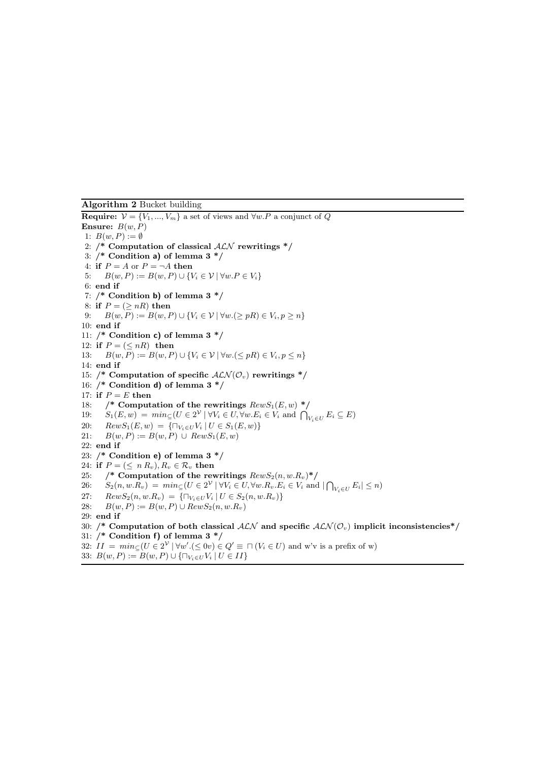Algorithm 2 Bucket building

**Require:**  $V = \{V_1, ..., V_m\}$  a set of views and  $\forall w.P$  a conjunct of Q Ensure:  $B(w, P)$ 1:  $B(w, P) := \emptyset$ 2:  $/*$  Computation of classical  $ALN$  rewritings  $*/$ 3:  $/*$  Condition a) of lemma 3  $*/$ 4: if  $P = A$  or  $P = \neg A$  then 5:  $B(w, P) := B(w, P) \cup \{V_i \in \mathcal{V} \mid \forall w \in P \in V_i\}$ 6: end if 7:  $/*$  Condition b) of lemma  $3*/$ 8: if  $P = (\geq nR)$  then 9:  $B(w, P) := B(w, P) \cup \{V_i \in \mathcal{V} \mid \forall w . (\geq pR) \in V_i, p \geq n\}$ 10: end if 11:  $/*$  Condition c) of lemma 3  $*/$ 12: if  $P = (\leq nR)$  then 13:  $B(w, P) := B(w, P) \cup \{V_i \in \mathcal{V} \mid \forall w . (\leq pR) \in V_i, p \leq n\}$ 14: end if 15: /\* Computation of specific  $ALN(O_v)$  rewritings \*/ 16:  $/*$  Condition d) of lemma 3 \*/ 17: if  $P = E$  then 18: /\* Computation of the rewritings  $RewS_1(E, w)$  \*/ 19:  $S_1(E, w) = min_{\subseteq} (U \in 2^V | \forall V_i \in U, \forall w.E_i \in V_i \text{ and } \bigcap_{V_i \in U} E_i \subseteq E)$ 20:  $RewS_1(E, w) = {\lbrace \sqcap_{V_i \in U} V_i \mid U \in S_1(E, w) \rbrace}$ <br>
21:  $B(w, P) := B(w, P) \cup RewS_1(E, w)$  $B(w, P) := B(w, P) \cup RewS_1(E, w)$ 22: end if 23:  $/*$  Condition e) of lemma 3  $*/$ 24: if  $P = (\leq n R_v), R_v \in \mathcal{R}_v$  then<br>25: /\* Computation of the rev 25:  $\frac{1}{2}$  Computation of the rewritings  $\frac{RewS_2(n, w.R_v) *}{R}$ 26:  $S_2(n, w.R_v) = min \subseteq (U \in 2^{\mathcal{V}} \mid \forall V_i \in U, \forall w.R_v.E_i \in V_i \text{ and } |\bigcap_{V_i \in U} E_i| \leq n)$ 27:  $RewS_2(n, w.R_v) = {\{\bigcap_{V_i \in U} V_i \mid U \in S_2(n, w.R_v)\}}$ <br>28:  $B(w, P) := B(w, P) \cup RewS_2(n, w.R_v)$  $B(w, P) := B(w, P) \cup RewS_2(n, w.R_v)$ 29: end if 30: /\* Computation of both classical  $\mathcal{ALN}$  and specific  $\mathcal{ALN}(\mathcal{O}_v)$  implicit inconsistencies\*/ 31:  $/*$  Condition f) of lemma 3  $*/$ 32:  $II = min_{\subseteq}(U \in 2^{\mathcal{V}} \mid \forall w'.(\leq 0v) \in Q' \equiv \sqcap (V_i \in U)$  and w'v is a prefix of w) 33:  $B(w, P) := B(w, P) \cup \{ \Box_{V_i \in U} V_i \mid U \in II \}$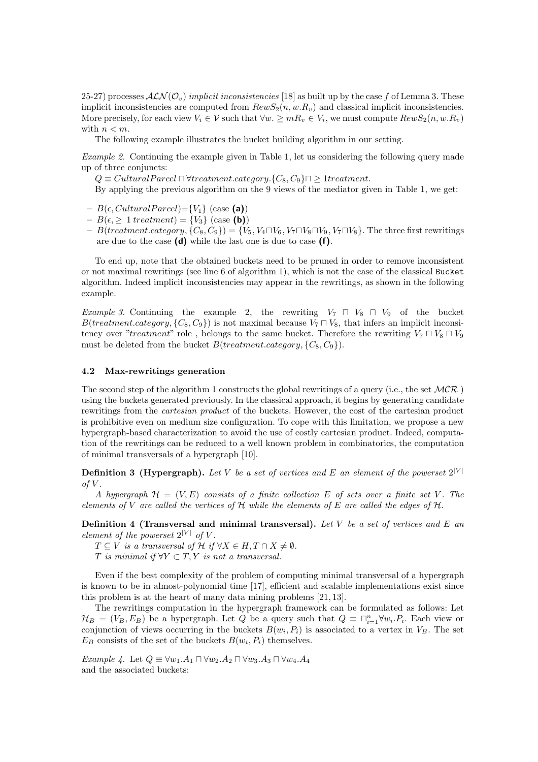25-27) processes  $ALN(\mathcal{O}_v)$  implicit inconsistencies [18] as built up by the case f of Lemma 3. These implicit inconsistencies are computed from  $RewS_2(n, w.R_v)$  and classical implicit inconsistencies. More precisely, for each view  $V_i \in \mathcal{V}$  such that  $\forall w. \geq mR_v \in V_i$ , we must compute  $RewS_2(n, w.R_v)$ with  $n < m$ .

The following example illustrates the bucket building algorithm in our setting.

*Example 2.* Continuing the example given in Table 1, let us considering the following query made up of three conjuncts:

 $Q \equiv Cultural~P \text{ are all}~T \forall treatment. category.$  { $C_8, C_9$ } $\Box \geq 1$ treatment.

By applying the previous algorithm on the 9 views of the mediator given in Table 1, we get:

- $B(\epsilon, Cultural Parcel) = \{V_1\}$  (case (a))
- $-B(\epsilon, \geq 1 \, treatment) = \{V_3\}$  (case (b))
- $-B(treatment.category, {C_8, C_9}) = {V_5, V_4 \square V_6, V_7 \square V_8 \square V_9, V_7 \square V_8}.$  The three first rewritings are due to the case (d) while the last one is due to case (f).

To end up, note that the obtained buckets need to be pruned in order to remove inconsistent or not maximal rewritings (see line 6 of algorithm 1), which is not the case of the classical Bucket algorithm. Indeed implicit inconsistencies may appear in the rewritings, as shown in the following example.

Example 3. Continuing the example 2, the rewriting  $V_7 \square V_8 \square V_9$  of the bucket B(treatment.category,  $\{C_8, C_9\}$ ) is not maximal because  $V_7 \sqcap V_8$ , that infers an implicit inconsitency over "treatment" role, belongs to the same bucket. Therefore the rewriting  $V_7 \square V_8 \square V_9$ must be deleted from the bucket  $B(treatment.category, {C_8, C_9}).$ 

#### 4.2 Max-rewritings generation

The second step of the algorithm 1 constructs the global rewritings of a query (i.e., the set  $MCR$ ) using the buckets generated previously. In the classical approach, it begins by generating candidate rewritings from the cartesian product of the buckets. However, the cost of the cartesian product is prohibitive even on medium size configuration. To cope with this limitation, we propose a new hypergraph-based characterization to avoid the use of costly cartesian product. Indeed, computation of the rewritings can be reduced to a well known problem in combinatorics, the computation of minimal transversals of a hypergraph [10].

**Definition 3 (Hypergraph).** Let V be a set of vertices and E an element of the powerset  $2^{|V|}$  $of V.$ 

A hypergraph  $\mathcal{H} = (V, E)$  consists of a finite collection E of sets over a finite set V. The elements of V are called the vertices of H while the elements of E are called the edges of H.

Definition 4 (Transversal and minimal transversal). Let  $V$  be a set of vertices and  $E$  and element of the powerset  $2^{|V|}$  of V.

 $T \subseteq V$  is a transversal of  $\mathcal H$  if  $\forall X \in H, T \cap X \neq \emptyset$ .

T is minimal if  $\forall Y \subset T, Y$  is not a transversal.

Even if the best complexity of the problem of computing minimal transversal of a hypergraph is known to be in almost-polynomial time [17], efficient and scalable implementations exist since this problem is at the heart of many data mining problems [21, 13].

The rewritings computation in the hypergraph framework can be formulated as follows: Let  $\mathcal{H}_B = (V_B, E_B)$  be a hypergraph. Let Q be a query such that  $Q \equiv \bigcap_{i=1}^n \forall w_i P_i$ . Each view or conjunction of views occurring in the buckets  $B(w_i, P_i)$  is associated to a vertex in  $V_B$ . The set  $E_B$  consists of the set of the buckets  $B(w_i, P_i)$  themselves.

Example 4. Let  $Q \equiv \forall w_1.A_1 \sqcap \forall w_2.A_2 \sqcap \forall w_3.A_3 \sqcap \forall w_4.A_4$ and the associated buckets: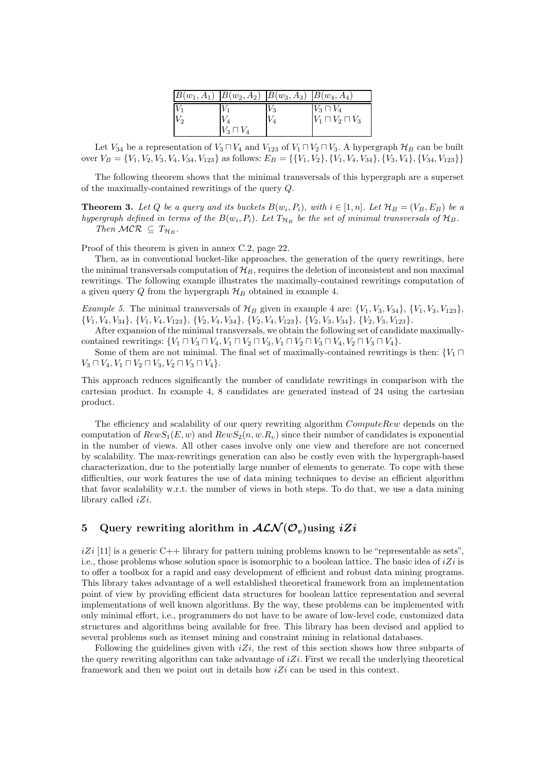| $B(w_1, A_1)$ $B(w_2, A_2)$ $B(w_3, A_3)$ $B(w_4, A_4)$ |                  |                |                                                 |
|---------------------------------------------------------|------------------|----------------|-------------------------------------------------|
| $V_2$                                                   | $V_3 \sqcap V_4$ | $V_3$<br>$V_4$ | $V_3 \sqcap V_4$<br>$V_1 \sqcap V_2 \sqcap V_3$ |

Let  $V_{34}$  be a representation of  $V_3 \sqcap V_4$  and  $V_{123}$  of  $V_1 \sqcap V_2 \sqcap V_3$ . A hypergraph  $\mathcal{H}_B$  can be built over  $V_B = \{V_1, V_2, V_3, V_4, V_{34}, V_{123}\}$  as follows:  $E_B = \{\{V_1, V_2\}, \{V_1, V_4, V_{34}\}, \{V_3, V_4\}, \{V_{34}, V_{123}\}\}\$ 

The following theorem shows that the minimal transversals of this hypergraph are a superset of the maximally-contained rewritings of the query Q.

**Theorem 3.** Let Q be a query and its buckets  $B(w_i, P_i)$ , with  $i \in [1, n]$ . Let  $\mathcal{H}_B = (V_B, E_B)$  be a hypergraph defined in terms of the  $B(w_i, P_i)$ . Let  $T_{\mathcal{H}_B}$  be the set of minimal transversals of  $\mathcal{H}_B$ . Then  $MCR \subseteq T_{\mathcal{H}_B}$ .

Proof of this theorem is given in annex C.2, page 22.

Then, as in conventional bucket-like approaches, the generation of the query rewritings, here the minimal transversals computation of  $\mathcal{H}_B$ , requires the deletion of inconsistent and non maximal rewritings. The following example illustrates the maximally-contained rewritings computation of a given query Q from the hypergraph  $\mathcal{H}_B$  obtained in example 4.

*Example 5.* The minimal transversals of  $\mathcal{H}_B$  given in example 4 are:  $\{V_1, V_3, V_{34}\}, \{V_1, V_3, V_{123}\},\$  $\{V_1, V_4, V_{34}\}, \{V_1, V_4, V_{123}\}, \{V_2, V_4, V_{34}\}, \{V_2, V_4, V_{123}\}, \{V_2, V_3, V_{34}\}, \{V_2, V_3, V_{123}\}.$ 

After expansion of the minimal transversals, we obtain the following set of candidate maximallycontained rewritings:  $\{V_1 \sqcap V_3 \sqcap V_4, V_1 \sqcap V_2 \sqcap V_3, V_1 \sqcap V_2 \sqcap V_3 \sqcap V_4, V_2 \sqcap V_3 \sqcap V_4\}.$ 

Some of them are not minimal. The final set of maximally-contained rewritings is then:  $\{V_1 \sqcap$  $V_3 \sqcap V_4, V_1 \sqcap V_2 \sqcap V_3, V_2 \sqcap V_3 \sqcap V_4$ .

This approach reduces significantly the number of candidate rewritings in comparison with the cartesian product. In example 4, 8 candidates are generated instead of 24 using the cartesian product.

The efficiency and scalability of our query rewriting algorithm *ComputeRew* depends on the computation of  $RewS_1(E, w)$  and  $RewS_2(n, w.R_v)$  since their number of candidates is exponential in the number of views. All other cases involve only one view and therefore are not concerned by scalability. The max-rewritings generation can also be costly even with the hypergraph-based characterization, due to the potentially large number of elements to generate. To cope with these difficulties, our work features the use of data mining techniques to devise an efficient algorithm that favor scalability w.r.t. the number of views in both steps. To do that, we use a data mining library called  $iZi$ .

## 5 Query rewriting alorithm in  $ALN(\mathcal{O}_v)$  using  $iZi$

 $iZi$  [11] is a generic C++ library for pattern mining problems known to be "representable as sets". i.e., those problems whose solution space is isomorphic to a boolean lattice. The basic idea of  $iZi$  is to offer a toolbox for a rapid and easy development of efficient and robust data mining programs. This library takes advantage of a well established theoretical framework from an implementation point of view by providing efficient data structures for boolean lattice representation and several implementations of well known algorithms. By the way, these problems can be implemented with only minimal effort, i.e., programmers do not have to be aware of low-level code, customized data structures and algorithms being available for free. This library has been devised and applied to several problems such as itemset mining and constraint mining in relational databases.

Following the guidelines given with  $iZ_i$ , the rest of this section shows how three subparts of the query rewriting algorithm can take advantage of  $iZ_i$ . First we recall the underlying theoretical framework and then we point out in details how  $iZi$  can be used in this context.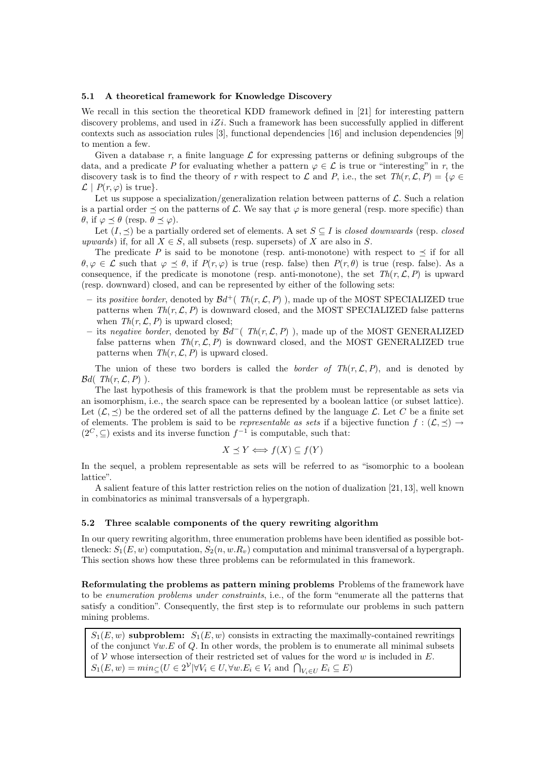#### 5.1 A theoretical framework for Knowledge Discovery

We recall in this section the theoretical KDD framework defined in [21] for interesting pattern discovery problems, and used in  $iZ_i$ . Such a framework has been successfully applied in different contexts such as association rules [3], functional dependencies [16] and inclusion dependencies [9] to mention a few.

Given a database r, a finite language  $\mathcal L$  for expressing patterns or defining subgroups of the data, and a predicate P for evaluating whether a pattern  $\varphi \in \mathcal{L}$  is true or "interesting" in r, the discovery task is to find the theory of r with respect to L and P, i.e., the set  $Th(r, \mathcal{L}, P) = \{ \varphi \in$  $\mathcal{L}$  |  $P(r, \varphi)$  is true}.

Let us suppose a specialization/generalization relation between patterns of  $\mathcal{L}$ . Such a relation is a partial order  $\leq$  on the patterns of L. We say that  $\varphi$  is more general (resp. more specific) than  $\theta$ , if  $\varphi \prec \theta$  (resp.  $\theta \prec \varphi$ ).

Let  $(I, \preceq)$  be a partially ordered set of elements. A set  $S \subseteq I$  is closed downwards (resp. closed upwards) if, for all  $X \in S$ , all subsets (resp. supersets) of X are also in S.

The predicate P is said to be monotone (resp. anti-monotone) with respect to  $\preceq$  if for all  $\theta, \varphi \in \mathcal{L}$  such that  $\varphi \preceq \theta$ , if  $P(r, \varphi)$  is true (resp. false) then  $P(r, \theta)$  is true (resp. false). As a consequence, if the predicate is monotone (resp. anti-monotone), the set  $Th(r, \mathcal{L}, P)$  is upward (resp. downward) closed, and can be represented by either of the following sets:

- its positive border, denoted by  $\mathcal{B}d^+(T h(r,\mathcal{L},P))$ , made up of the MOST SPECIALIZED true patterns when  $Th(r, \mathcal{L}, P)$  is downward closed, and the MOST SPECIALIZED false patterns when  $Th(r, \mathcal{L}, P)$  is upward closed;
- − its negative border, denoted by  $\mathcal{B}d^-$  (Th(r,  $\mathcal{L}, P$ ), made up of the MOST GENERALIZED false patterns when  $Th(r, \mathcal{L}, P)$  is downward closed, and the MOST GENERALIZED true patterns when  $Th(r, \mathcal{L}, P)$  is upward closed.

The union of these two borders is called the *border of Th(r, L, P)*, and is denoted by  $Bd(Th(r,\mathcal{L},P))$ .

The last hypothesis of this framework is that the problem must be representable as sets via an isomorphism, i.e., the search space can be represented by a boolean lattice (or subset lattice). Let  $(\mathcal{L}, \prec)$  be the ordered set of all the patterns defined by the language  $\mathcal{L}$ . Let C be a finite set of elements. The problem is said to be *representable as sets* if a bijective function  $f : (\mathcal{L}, \preceq) \to$  $(2^C, \subseteq)$  exists and its inverse function  $f^{-1}$  is computable, such that:

$$
X \preceq Y \Longleftrightarrow f(X) \subseteq f(Y)
$$

In the sequel, a problem representable as sets will be referred to as "isomorphic to a boolean lattice".

A salient feature of this latter restriction relies on the notion of dualization [21, 13], well known in combinatorics as minimal transversals of a hypergraph.

#### 5.2 Three scalable components of the query rewriting algorithm

In our query rewriting algorithm, three enumeration problems have been identified as possible bottleneck:  $S_1(E, w)$  computation,  $S_2(n, w.R_v)$  computation and minimal transversal of a hypergraph. This section shows how these three problems can be reformulated in this framework.

Reformulating the problems as pattern mining problems Problems of the framework have to be enumeration problems under constraints, i.e., of the form "enumerate all the patterns that satisfy a condition". Consequently, the first step is to reformulate our problems in such pattern mining problems.

 $S_1(E, w)$  subproblem:  $S_1(E, w)$  consists in extracting the maximally-contained rewritings of the conjunct  $\forall w.E$  of Q. In other words, the problem is to enumerate all minimal subsets of V whose intersection of their restricted set of values for the word w is included in  $E$ .  $S_1(E, w) = min_{\subseteq}(U \in 2^{\mathcal{V}} | \forall V_i \in U, \forall w.E_i \in V_i \text{ and } \bigcap_{V_i \in U} E_i \subseteq E)$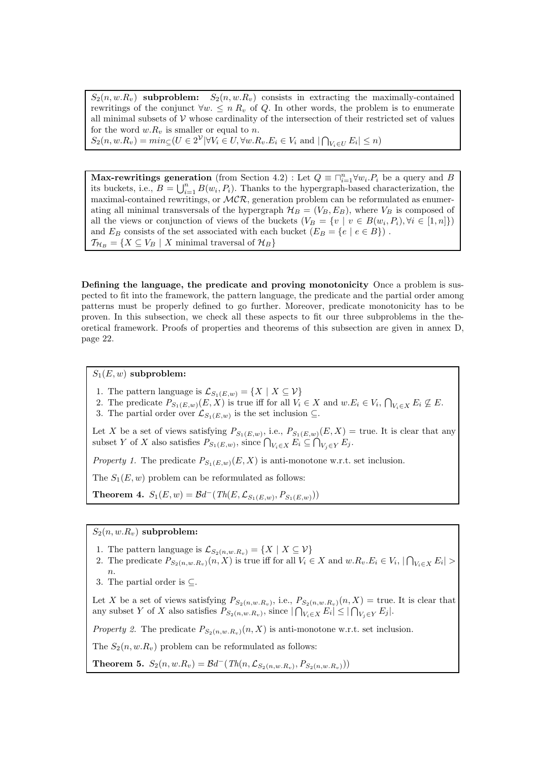$S_2(n, w.R_v)$  subproblem:  $S_2(n, w.R_v)$  consists in extracting the maximally-contained rewritings of the conjunct  $\forall w. \leq n R_v$  of Q. In other words, the problem is to enumerate all minimal subsets of  $V$  whose cardinality of the intersection of their restricted set of values for the word  $w.R_v$  is smaller or equal to n.  $S_2(n, w.R_v) = min \subseteq (U \in 2^{\mathcal{V}}) \forall V_i \in U, \forall w.R_v.E_i \in V_i \text{ and } |\bigcap_{V_i \in U} E_i| \leq n)$ 

Max-rewritings generation (from Section 4.2) : Let  $Q \equiv \bigcap_{i=1}^{n} \forall w_i P_i$  be a query and B its buckets, i.e.,  $B = \bigcup_{i=1}^{n} B(w_i, P_i)$ . Thanks to the hypergraph-based characterization, the maximal-contained rewritings, or  $MCR$ , generation problem can be reformulated as enumerating all minimal transversals of the hypergraph  $\mathcal{H}_B = (V_B, E_B)$ , where  $V_B$  is composed of all the views or conjunction of views of the buckets  $(V_B = \{v \mid v \in B(w_i, P_i), \forall i \in [1, n]\})$ and  $E_B$  consists of the set associated with each bucket  $(E_B = \{e \mid e \in B\})$ .  $\mathcal{T}_{\mathcal{H}_B} = \{ X \subseteq V_B \mid X \text{ minimal traversal of } \mathcal{H}_B \}$ 

Defining the language, the predicate and proving monotonicity Once a problem is suspected to fit into the framework, the pattern language, the predicate and the partial order among patterns must be properly defined to go further. Moreover, predicate monotonicity has to be proven. In this subsection, we check all these aspects to fit our three subproblems in the theoretical framework. Proofs of properties and theorems of this subsection are given in annex D, page 22.

 $S_1(E, w)$  subproblem:

1. The pattern language is  $\mathcal{L}_{S_1(E,w)} = \{X \mid X \subseteq \mathcal{V}\}\$ 

2. The predicate  $P_{S_1(E,w)}(E, X)$  is true iff for all  $V_i \in X$  and  $w.E_i \in V_i$ ,  $\bigcap_{V_i \in X} E_i \nsubseteq E$ .

3. The partial order over  $\mathcal{L}_{S_1(E,w)}$  is the set inclusion  $\subseteq$ .

Let X be a set of views satisfying  $P_{S_1(E,w)}$ , i.e.,  $P_{S_1(E,w)}(E, X) = \text{true}$ . It is clear that any subset Y of X also satisfies  $P_{S_1(E,w)}^{S_1(S,w)}$ , since  $\bigcap_{V_i \in X} E_i \subseteq \bigcap_{V_j \in Y} E_j$ .

Property 1. The predicate  $P_{S_1(E,w)}(E, X)$  is anti-monotone w.r.t. set inclusion.

The  $S_1(E, w)$  problem can be reformulated as follows:

**Theorem 4.**  $S_1(E, w) = \mathcal{B}d^{-}(Th(E, \mathcal{L}_{S_1(E, w)}, P_{S_1(E, w)}))$ 

 $S_2(n, w.R_v)$  subproblem:

- 1. The pattern language is  $\mathcal{L}_{S_2(n,w,R_v)} = \{X \mid X \subseteq \mathcal{V}\}\$
- 2. The predicate  $P_{S_2(n,w,R_v)}(n, X)$  is true iff for all  $V_i \in X$  and  $w.R_v.E_i \in V_i$ ,  $|\bigcap_{V_i \in X} E_i| >$  $\overline{n}$ .
- 3. The partial order is ⊆.

Let X be a set of views satisfying  $P_{S_2(n,w.R_v)}$ , i.e.,  $P_{S_2(n,w.R_v)}(n,X) = \text{true}$ . It is clear that any subset Y of X also satisfies  $P_{S_2(n,w,R_v)}$ , since  $\left|\bigcap_{V_i \in X} E_i\right| \leq \left|\bigcap_{V_j \in Y} E_j\right|$ .

Property 2. The predicate  $P_{S_2(n,w,R_n)}(n, X)$  is anti-monotone w.r.t. set inclusion.

The  $S_2(n, w.R_v)$  problem can be reformulated as follows:

**Theorem 5.**  $S_2(n, w.R_v) = \mathcal{B}d^{-}(Th(n, \mathcal{L}_{S_2(n, w.R_v)}, P_{S_2(n, w.R_v)}))$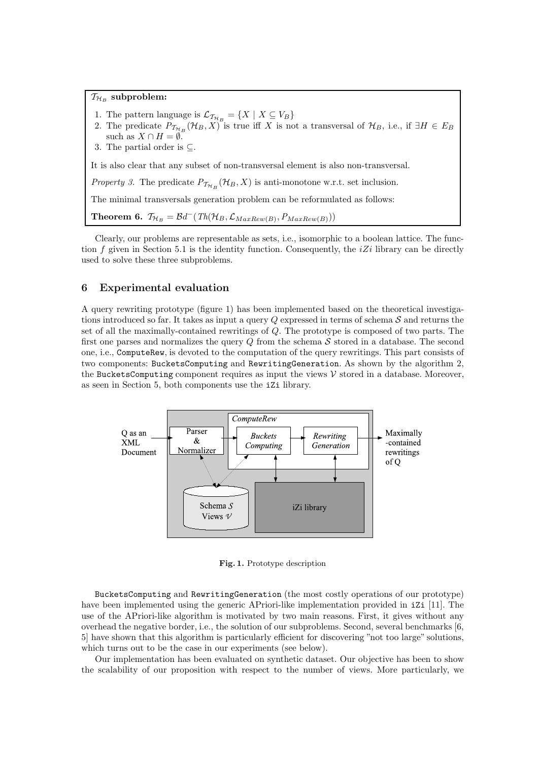## $\mathcal{T}_{\mathcal{H}_B}$  subproblem:

- 1. The pattern language is  $\mathcal{L}_{\mathcal{I}_{\mathcal{H}_B}} = \{ X \mid X \subseteq V_B \}$
- 2. The predicate  $P_{\mathcal{I}_{\mathcal{H}_B}}(\mathcal{H}_B, X)$  is true iff X is not a transversal of  $\mathcal{H}_B$ , i.e., if  $\exists H \in E_B$ such as  $X \cap H = \emptyset$ .
- 3. The partial order is ⊆.

It is also clear that any subset of non-transversal element is also non-transversal.

*Property 3.* The predicate  $P_{\mathcal{I}_{\mathcal{H}_B}}(\mathcal{H}_B, X)$  is anti-monotone w.r.t. set inclusion.

The minimal transversals generation problem can be reformulated as follows:

**Theorem 6.**  $\mathcal{T}_{\mathcal{H}_B} = \mathcal{B}d^-(\text{Th}(\mathcal{H}_B, \mathcal{L}_{MaxRew(B)}, P_{MaxRew(B)}))$ 

Clearly, our problems are representable as sets, i.e., isomorphic to a boolean lattice. The function f given in Section 5.1 is the identity function. Consequently, the  $iZ_i$  library can be directly used to solve these three subproblems.

## 6 Experimental evaluation

A query rewriting prototype (figure 1) has been implemented based on the theoretical investigations introduced so far. It takes as input a query  $Q$  expressed in terms of schema  $S$  and returns the set of all the maximally-contained rewritings of Q. The prototype is composed of two parts. The first one parses and normalizes the query  $Q$  from the schema  $S$  stored in a database. The second one, i.e., ComputeRew, is devoted to the computation of the query rewritings. This part consists of two components: BucketsComputing and RewritingGeneration. As shown by the algorithm 2, the BucketsComputing component requires as input the views  $\mathcal V$  stored in a database. Moreover, as seen in Section 5, both components use the iZi library.



Fig. 1. Prototype description

BucketsComputing and RewritingGeneration (the most costly operations of our prototype) have been implemented using the generic APriori-like implementation provided in iZi [11]. The use of the APriori-like algorithm is motivated by two main reasons. First, it gives without any overhead the negative border, i.e., the solution of our subproblems. Second, several benchmarks [6, 5] have shown that this algorithm is particularly efficient for discovering "not too large" solutions, which turns out to be the case in our experiments (see below).

Our implementation has been evaluated on synthetic dataset. Our objective has been to show the scalability of our proposition with respect to the number of views. More particularly, we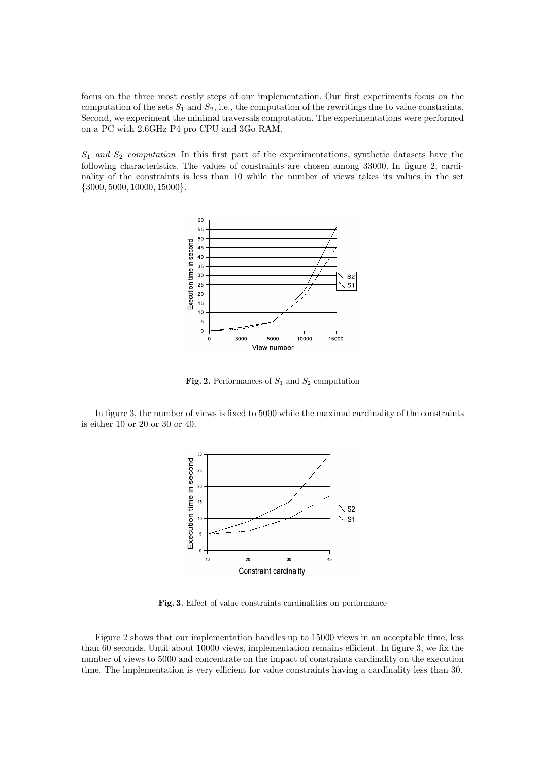focus on the three most costly steps of our implementation. Our first experiments focus on the computation of the sets  $S_1$  and  $S_2$ , i.e., the computation of the rewritings due to value constraints. Second, we experiment the minimal traversals computation. The experimentations were performed on a PC with 2.6GHz P4 pro CPU and 3Go RAM.

 $S_1$  and  $S_2$  computation In this first part of the experimentations, synthetic datasets have the following characteristics. The values of constraints are chosen among 33000. In figure 2, cardinality of the constraints is less than 10 while the number of views takes its values in the set  $\{3000, 5000, 10000, 15000\}.$ 



Fig. 2. Performances of  $S_1$  and  $S_2$  computation

In figure 3, the number of views is fixed to 5000 while the maximal cardinality of the constraints is either 10 or 20 or 30 or 40.



Fig. 3. Effect of value constraints cardinalities on performance

Figure 2 shows that our implementation handles up to 15000 views in an acceptable time, less than 60 seconds. Until about 10000 views, implementation remains efficient. In figure 3, we fix the number of views to 5000 and concentrate on the impact of constraints cardinality on the execution time. The implementation is very efficient for value constraints having a cardinality less than 30.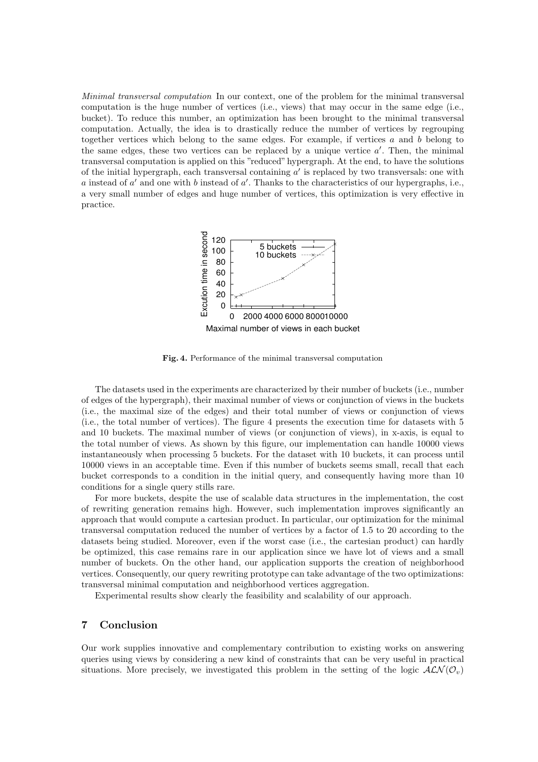Minimal transversal computation In our context, one of the problem for the minimal transversal computation is the huge number of vertices (i.e., views) that may occur in the same edge (i.e., bucket). To reduce this number, an optimization has been brought to the minimal transversal computation. Actually, the idea is to drastically reduce the number of vertices by regrouping together vertices which belong to the same edges. For example, if vertices a and b belong to the same edges, these two vertices can be replaced by a unique vertice  $a'$ . Then, the minimal transversal computation is applied on this "reduced" hypergraph. At the end, to have the solutions of the initial hypergraph, each transversal containing  $a'$  is replaced by two transversals: one with a instead of  $a'$  and one with b instead of  $a'$ . Thanks to the characteristics of our hypergraphs, i.e., a very small number of edges and huge number of vertices, this optimization is very effective in practice.



Fig. 4. Performance of the minimal transversal computation

The datasets used in the experiments are characterized by their number of buckets (i.e., number of edges of the hypergraph), their maximal number of views or conjunction of views in the buckets (i.e., the maximal size of the edges) and their total number of views or conjunction of views (i.e., the total number of vertices). The figure 4 presents the execution time for datasets with 5 and 10 buckets. The maximal number of views (or conjunction of views), in x-axis, is equal to the total number of views. As shown by this figure, our implementation can handle 10000 views instantaneously when processing 5 buckets. For the dataset with 10 buckets, it can process until 10000 views in an acceptable time. Even if this number of buckets seems small, recall that each bucket corresponds to a condition in the initial query, and consequently having more than 10 conditions for a single query stills rare.

For more buckets, despite the use of scalable data structures in the implementation, the cost of rewriting generation remains high. However, such implementation improves significantly an approach that would compute a cartesian product. In particular, our optimization for the minimal transversal computation reduced the number of vertices by a factor of 1.5 to 20 according to the datasets being studied. Moreover, even if the worst case (i.e., the cartesian product) can hardly be optimized, this case remains rare in our application since we have lot of views and a small number of buckets. On the other hand, our application supports the creation of neighborhood vertices. Consequently, our query rewriting prototype can take advantage of the two optimizations: transversal minimal computation and neighborhood vertices aggregation.

Experimental results show clearly the feasibility and scalability of our approach.

## 7 Conclusion

Our work supplies innovative and complementary contribution to existing works on answering queries using views by considering a new kind of constraints that can be very useful in practical situations. More precisely, we investigated this problem in the setting of the logic  $\mathcal{AN}(\mathcal{O}_v)$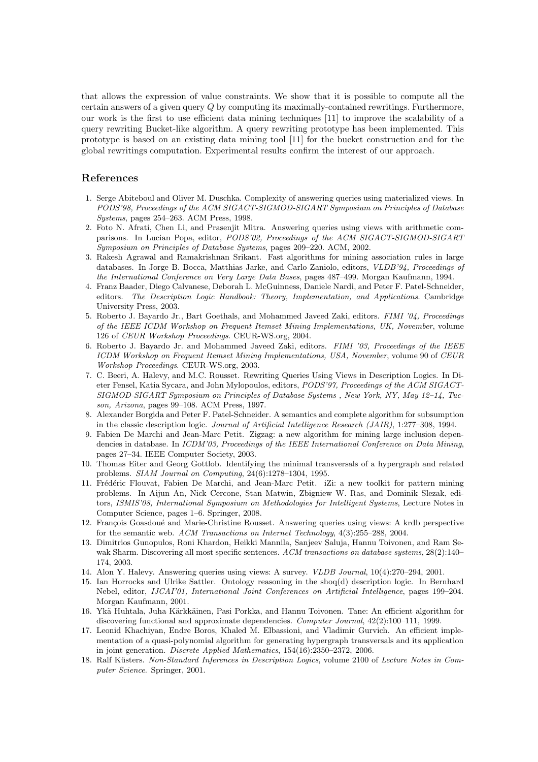that allows the expression of value constraints. We show that it is possible to compute all the certain answers of a given query  $\overline{Q}$  by computing its maximally-contained rewritings. Furthermore, our work is the first to use efficient data mining techniques [11] to improve the scalability of a query rewriting Bucket-like algorithm. A query rewriting prototype has been implemented. This prototype is based on an existing data mining tool [11] for the bucket construction and for the global rewritings computation. Experimental results confirm the interest of our approach.

## References

- 1. Serge Abiteboul and Oliver M. Duschka. Complexity of answering queries using materialized views. In PODS'98, Proceedings of the ACM SIGACT-SIGMOD-SIGART Symposium on Principles of Database Systems, pages 254–263. ACM Press, 1998.
- 2. Foto N. Afrati, Chen Li, and Prasenjit Mitra. Answering queries using views with arithmetic comparisons. In Lucian Popa, editor, PODS'02, Proceedings of the ACM SIGACT-SIGMOD-SIGART Symposium on Principles of Database Systems, pages 209–220. ACM, 2002.
- 3. Rakesh Agrawal and Ramakrishnan Srikant. Fast algorithms for mining association rules in large databases. In Jorge B. Bocca, Matthias Jarke, and Carlo Zaniolo, editors, VLDB'94, Proceedings of the International Conference on Very Large Data Bases, pages 487–499. Morgan Kaufmann, 1994.
- 4. Franz Baader, Diego Calvanese, Deborah L. McGuinness, Daniele Nardi, and Peter F. Patel-Schneider, editors. The Description Logic Handbook: Theory, Implementation, and Applications. Cambridge University Press, 2003.
- 5. Roberto J. Bayardo Jr., Bart Goethals, and Mohammed Javeed Zaki, editors. FIMI '04, Proceedings of the IEEE ICDM Workshop on Frequent Itemset Mining Implementations, UK, November, volume 126 of CEUR Workshop Proceedings. CEUR-WS.org, 2004.
- 6. Roberto J. Bayardo Jr. and Mohammed Javeed Zaki, editors. FIMI '03, Proceedings of the IEEE ICDM Workshop on Frequent Itemset Mining Implementations, USA, November, volume 90 of CEUR Workshop Proceedings. CEUR-WS.org, 2003.
- 7. C. Beeri, A. Halevy, and M.C. Rousset. Rewriting Queries Using Views in Description Logics. In Dieter Fensel, Katia Sycara, and John Mylopoulos, editors, PODS'97, Proceedings of the ACM SIGACT-SIGMOD-SIGART Symposium on Principles of Database Systems , New York, NY, May 12–14, Tucson, Arizona, pages 99–108. ACM Press, 1997.
- 8. Alexander Borgida and Peter F. Patel-Schneider. A semantics and complete algorithm for subsumption in the classic description logic. Journal of Artificial Intelligence Research (JAIR), 1:277–308, 1994.
- 9. Fabien De Marchi and Jean-Marc Petit. Zigzag: a new algorithm for mining large inclusion dependencies in database. In *ICDM'03*, Proceedings of the IEEE International Conference on Data Mining, pages 27–34. IEEE Computer Society, 2003.
- 10. Thomas Eiter and Georg Gottlob. Identifying the minimal transversals of a hypergraph and related problems. SIAM Journal on Computing, 24(6):1278–1304, 1995.
- 11. Fr´ed´eric Flouvat, Fabien De Marchi, and Jean-Marc Petit. iZi: a new toolkit for pattern mining problems. In Aijun An, Nick Cercone, Stan Matwin, Zbigniew W. Ras, and Dominik Slezak, editors, ISMIS'08, International Symposium on Methodologies for Intelligent Systems, Lecture Notes in Computer Science, pages 1–6. Springer, 2008.
- 12. François Goasdoué and Marie-Christine Rousset. Answering queries using views: A krdb perspective for the semantic web. ACM Transactions on Internet Technology, 4(3):255–288, 2004.
- 13. Dimitrios Gunopulos, Roni Khardon, Heikki Mannila, Sanjeev Saluja, Hannu Toivonen, and Ram Sewak Sharm. Discovering all most specific sentences. ACM transactions on database systems, 28(2):140– 174, 2003.
- 14. Alon Y. Halevy. Answering queries using views: A survey. VLDB Journal, 10(4):270–294, 2001.
- 15. Ian Horrocks and Ulrike Sattler. Ontology reasoning in the shoq(d) description logic. In Bernhard Nebel, editor, IJCAI'01, International Joint Conferences on Artificial Intelligence, pages 199–204. Morgan Kaufmann, 2001.
- 16. Ykä Huhtala, Juha Kärkkäinen, Pasi Porkka, and Hannu Toivonen. Tane: An efficient algorithm for discovering functional and approximate dependencies. Computer Journal, 42(2):100–111, 1999.
- 17. Leonid Khachiyan, Endre Boros, Khaled M. Elbassioni, and Vladimir Gurvich. An efficient implementation of a quasi-polynomial algorithm for generating hypergraph transversals and its application in joint generation. Discrete Applied Mathematics, 154(16):2350–2372, 2006.
- 18. Ralf Küsters. Non-Standard Inferences in Description Logics, volume 2100 of Lecture Notes in Computer Science. Springer, 2001.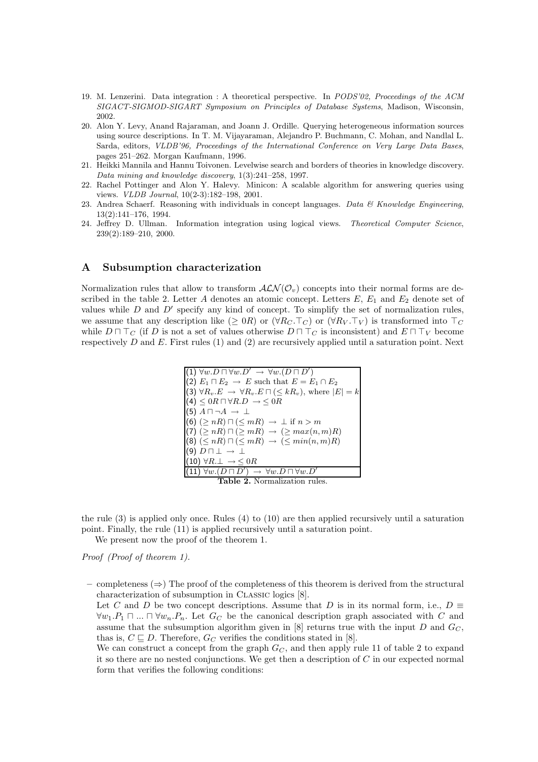- 19. M. Lenzerini. Data integration : A theoretical perspective. In PODS'02, Proceedings of the ACM SIGACT-SIGMOD-SIGART Symposium on Principles of Database Systems, Madison, Wisconsin, 2002.
- 20. Alon Y. Levy, Anand Rajaraman, and Joann J. Ordille. Querying heterogeneous information sources using source descriptions. In T. M. Vijayaraman, Alejandro P. Buchmann, C. Mohan, and Nandlal L. Sarda, editors, VLDB'96, Proceedings of the International Conference on Very Large Data Bases, pages 251–262. Morgan Kaufmann, 1996.
- 21. Heikki Mannila and Hannu Toivonen. Levelwise search and borders of theories in knowledge discovery. Data mining and knowledge discovery, 1(3):241–258, 1997.
- 22. Rachel Pottinger and Alon Y. Halevy. Minicon: A scalable algorithm for answering queries using views. VLDB Journal, 10(2-3):182–198, 2001.
- 23. Andrea Schaerf. Reasoning with individuals in concept languages. Data  $\mathcal C$  Knowledge Engineering, 13(2):141–176, 1994.
- 24. Jeffrey D. Ullman. Information integration using logical views. Theoretical Computer Science, 239(2):189–210, 2000.

## A Subsumption characterization

Normalization rules that allow to transform  $\mathcal{A}\mathcal{L}\mathcal{N}(\mathcal{O}_v)$  concepts into their normal forms are described in the table 2. Letter A denotes an atomic concept. Letters  $E, E_1$  and  $E_2$  denote set of values while  $D$  and  $D'$  specify any kind of concept. To simplify the set of normalization rules, we assume that any description like ( $\geq 0R$ ) or ( $\forall R_C$  .⊤c) or ( $\forall R_V$  .⊤v) is transformed into ⊤c while  $D \sqcap \top_C$  (if D is not a set of values otherwise  $D \sqcap \top_C$  is inconsistent) and  $E \sqcap \top_V$  become respectively D and E. First rules  $(1)$  and  $(2)$  are recursively applied until a saturation point. Next

```
(1) \forall w.D \sqcap \forall w.D' \rightarrow \forall w.(D \sqcap D')(2) E_1 \sqcap E_2 \rightarrow E such that E = E_1 \cap E_2(3) \forall R_v.E \rightarrow \forall R_v.E \sqcap (\leq kR_v), where |E| = k(4) \leq 0R \sqcap \forall R.D \rightarrow \leq 0R(5) A \sqcap \neg A \rightarrow \bot(6) (\geq nR) \sqcap (\leq mR) \rightarrow \perp if n > m(7) (\geq nR) \sqcap (\geq mR) \rightarrow (\geq max(n,m)R)(8) (\leq nR) \sqcap (\leq mR) \rightarrow (\leq min(n,m)R)(9) D \sqcap \bot \rightarrow \bot(10) \forall R \perp \rightarrow 0(11) ∀w.(D ∩ D'\forall w.D \sqcap \forall w.DTable 2. Normalization rules.
```
the rule (3) is applied only once. Rules (4) to (10) are then applied recursively until a saturation point. Finally, the rule (11) is applied recursively until a saturation point.

We present now the proof of the theorem 1.

Proof (Proof of theorem 1).

– completeness (⇒) The proof of the completeness of this theorem is derived from the structural characterization of subsumption in Classic logics [8].

Let C and D be two concept descriptions. Assume that D is in its normal form, i.e.,  $D \equiv$  $\forall w_1.P_1 \sqcap ... \sqcap \forall w_n.P_n$ . Let  $G_C$  be the canonical description graph associated with C and assume that the subsumption algorithm given in [8] returns true with the input D and  $G_C$ , thas is,  $C \subseteq D$ . Therefore,  $G_C$  verifies the conditions stated in [8].

We can construct a concept from the graph  $G_C$ , and then apply rule 11 of table 2 to expand it so there are no nested conjunctions. We get then a description of  $C$  in our expected normal form that verifies the following conditions: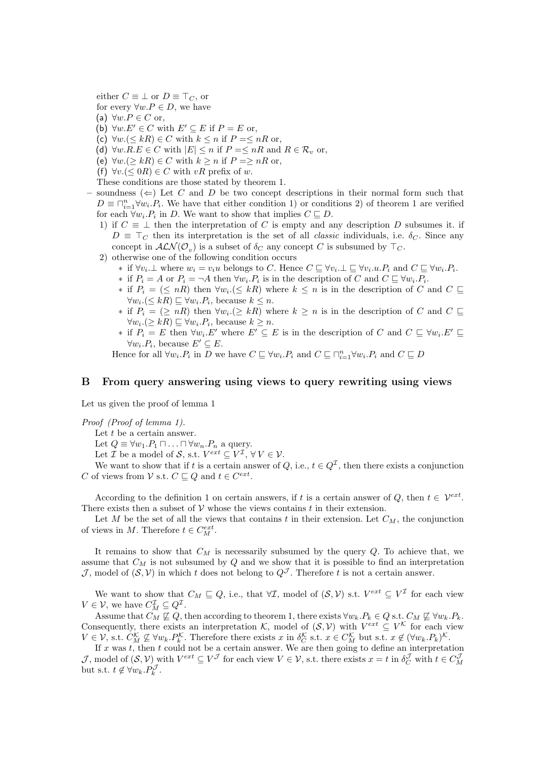either  $C \equiv \perp$  or  $D \equiv \top_C$ , or

- for every  $\forall w.P \in D$ , we have
- (a)  $\forall w.P \in C$  or,
- (b)  $\forall w.E' \in C$  with  $E' \subseteq E$  if  $P = E$  or,
- (c)  $\forall w. (\leq kR) \in C$  with  $k \leq n$  if  $P = \leq nR$  or,
- (d)  $\forall w.R.E \in C$  with  $|E| \leq n$  if  $P = \leq nR$  and  $R \in \mathcal{R}_v$  or,
- (e)  $\forall w. (\geq kR) \in C$  with  $k \geq n$  if  $P = \geq nR$  or,
- (f)  $\forall v. (\leq 0R) \in C$  with vR prefix of w.

These conditions are those stated by theorem 1.

- soundness ( $\Leftarrow$ ) Let C and D be two concept descriptions in their normal form such that  $D \equiv \bigcap_{i=1}^n \forall w_i P_i$ . We have that either condition 1) or conditions 2) of theorem 1 are verified for each  $\forall w_i \ldotp P_i$  in D. We want to show that implies  $C \sqsubseteq D$ .
	- 1) if  $C \equiv \perp$  then the interpretation of C is empty and any description D subsumes it. if  $D \equiv \top_C$  then its interpretation is the set of all *classic* individuals, i.e.  $\delta_C$ . Since any concept in  $\mathcal{ALN}(\mathcal{O}_v)$  is a subset of  $\delta_C$  any concept C is subsumed by  $\top_C$ .
	- 2) otherwise one of the following condition occurs
		- ∗ if  $\forall v_i \perp$  where  $w_i = v_i u$  belongs to C. Hence  $C \sqsubseteq \forall v_i \perp \sqsubseteq \forall v_i \ldots P_i$  and  $C \sqsubseteq \forall w_i \ldotp P_i$ .
		- ∗ if  $P_i = A$  or  $P_i = \neg A$  then  $\forall w_i \ldotp P_i$  is in the description of C and  $C \sqsubseteq \forall w_i \ldotp P_i$ .
		- $*$  if  $P_i = (\leq nR)$  then  $\forall w_i. (\leq kR)$  where  $k \leq n$  is in the description of C and C ⊑  $\forall w_i. (\leq kR) \sqsubseteq \forall w_i.P_i$ , because  $k \leq n$ .
		- $*$  if  $P_i = (\geq nR)$  then  $\forall w_i. (\geq kR)$  where  $k \geq n$  is in the description of C and C ⊑  $\forall w_i. (\geq kR) \sqsubseteq \forall w_i.P_i$ , because  $k \geq n$ .
		- $*$  if  $P_i = E$  then  $\forall w_i.E'$  where  $E' \subseteq E$  is in the description of C and  $C \subseteq \forall w_i.E' \subseteq E$  $\forall w_i.P_i$ , because  $E' \subseteq E$ .

Hence for all  $\forall w_i.P_i$  in D we have  $C \subseteq \forall w_i.P_i$  and  $C \subseteq \sqcap_{i=1}^n \forall w_i.P_i$  and  $C \subseteq D$ 

## B From query answering using views to query rewriting using views

Let us given the proof of lemma 1

Proof (Proof of lemma 1).

Let  $t$  be a certain answer.

Let  $Q \equiv \forall w_1.P_1 \sqcap \ldots \sqcap \forall w_n.P_n$  a query.

Let *I* be a model of *S*, s.t.  $V^{ext} \subseteq V^{\mathcal{I}}, \forall V \in \mathcal{V}$ .

We want to show that if t is a certain answer of  $Q$ , i.e.,  $t \in Q^{\mathcal{I}}$ , then there exists a conjunction C of views from  $\mathcal{V}$  s.t.  $C \sqsubseteq Q$  and  $t \in C^{ext}$ .

According to the definition 1 on certain answers, if t is a certain answer of Q, then  $t \in \mathcal{V}^{ext}$ . There exists then a subset of  $V$  whose the views contains  $t$  in their extension.

Let M be the set of all the views that contains t in their extension. Let  $C_M$ , the conjunction of views in M. Therefore  $t \in C_M^{ext}$ .

It remains to show that  $C_M$  is necessarily subsumed by the query Q. To achieve that, we assume that  $C_M$  is not subsumed by  $Q$  and we show that it is possible to find an interpretation J, model of  $(S, V)$  in which t does not belong to  $Q<sup>J</sup>$ . Therefore t is not a certain answer.

We want to show that  $C_M \sqsubseteq Q$ , i.e., that  $\forall \mathcal{I}$ , model of  $(\mathcal{S}, \mathcal{V})$  s.t.  $V^{ext} \subseteq V^{\mathcal{I}}$  for each view  $V \in \mathcal{V}$ , we have  $C_M^{\mathcal{I}} \subseteq Q^{\mathcal{I}}$ .

Assume that  $C_M \not\sqsubseteq Q$ , then according to theorem 1, there exists  $\forall w_k.P_k \in Q$  s.t.  $C_M \not\sqsubseteq \forall w_k.P_k$ . Consequently, there exists an interpretation K, model of  $(S, V)$  with  $V^{ext} \subseteq V^{\mathcal{K}}$  for each view  $V \in \mathcal{V}$ , s.t.  $C_M^{\mathcal{K}} \nsubseteq \forall w_k P_k^{\mathcal{K}}$ . Therefore there exists x in  $\delta_C^{\mathcal{K}}$  s.t.  $x \in C_M^{\mathcal{K}}$  but s.t.  $x \notin (\forall w_k P_k)^{\mathcal{K}}$ .

If x was t, then t could not be a certain answer. We are then going to define an interpretation J, model of  $(S, V)$  with  $V^{ext} \subseteq V^{\mathcal{J}}$  for each view  $V \in V$ , s.t. there exists  $x = t$  in  $\delta_C^{\mathcal{J}}$  with  $t \in C_M^{\mathcal{J}}$ but s.t.  $t \notin \forall w_k . P_k^{\mathcal{J}}$ .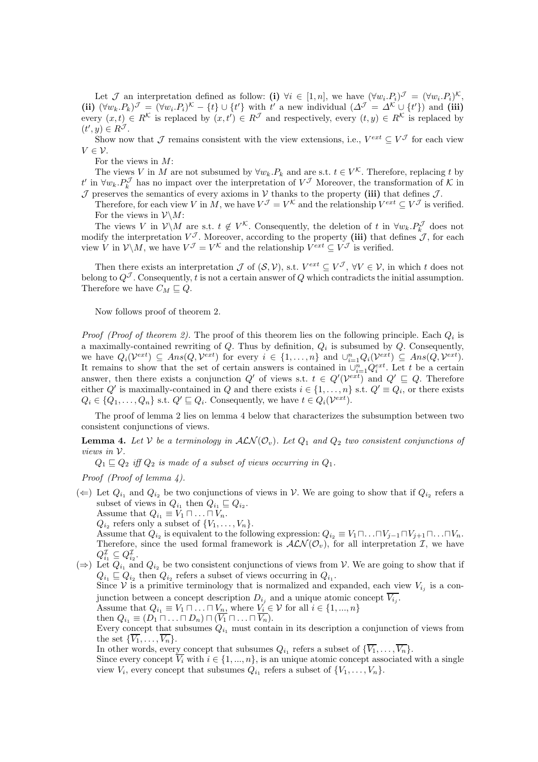Let J an interpretation defined as follow: (i)  $\forall i \in [1, n]$ , we have  $(\forall w_i P_i)$ <sup> $\mathcal{J} = (\forall w_i P_i)$ <sup>K</sup>,</sup> (ii)  $(\forall w_k.P_k)^{\mathcal{J}} = (\forall w_i.P_i)^{\mathcal{K}} - \{t\} \cup \{t'\}$  with  $t'$  a new individual  $(\Delta^{\mathcal{J}} = \Delta^{\mathcal{K}} \cup \{t'\})$  and (iii) every  $(x,t) \in R^{\mathcal{K}}$  is replaced by  $(x,t') \in R^{\mathcal{J}}$  and respectively, every  $(t,y) \in R^{\mathcal{K}}$  is replaced by  $(t', y) \in R^{\mathcal{J}}$ .

Show now that J remains consistent with the view extensions, i.e.,  $V^{ext} \subseteq V^{\mathcal{J}}$  for each view  $V \in \mathcal{V}$ .

For the views in M:

The views V in M are not subsumed by  $\forall w_k \ldotp P_k$  and are s.t.  $t \in V^{\mathcal{K}}$ . Therefore, replacing t by t' in  $\forall w_k \cdot P_k^{\mathcal{J}}$  has no impact over the interpretation of  $V^{\mathcal{J}}$  Moreover, the transformation of K in  $J$  preserves the semantics of every axioms in V thanks to the property (iii) that defines  $J$ .

Therefore, for each view V in M, we have  $V^{\mathcal{J}} = V^{\mathcal{K}}$  and the relationship  $V^{ext} \subseteq V^{\mathcal{J}}$  is verified. For the views in  $\mathcal{V}\backslash M$ :

The views V in  $\mathcal{V}\backslash M$  are s.t.  $t \notin V^{\mathcal{K}}$ . Consequently, the deletion of t in  $\forall w_k P_k^{\mathcal{J}}$  does not modify the interpretation  $V^{\mathcal{J}}$ . Moreover, according to the property (iii) that defines  $\mathcal{J}$ , for each view V in  $\mathcal{V}\setminus M$ , we have  $V^{\mathcal{J}}=V^{\mathcal{K}}$  and the relationship  $V^{ext}\subseteq V^{\mathcal{J}}$  is verified.

Then there exists an interpretation  $\mathcal J$  of  $(S, V)$ , s.t.  $V^{ext} \subseteq V^{\mathcal J}$ ,  $\forall V \in V$ , in which t does not belong to  $Q^{\mathcal{J}}$ . Consequently, t is not a certain answer of Q which contradicts the initial assumption. Therefore we have  $C_M \sqsubseteq Q$ .

Now follows proof of theorem 2.

*Proof (Proof of theorem 2)*. The proof of this theorem lies on the following principle. Each  $Q_i$  is a maximally-contained rewriting of  $Q$ . Thus by definition,  $Q_i$  is subsumed by  $Q$ . Consequently, we have  $Q_i(\mathcal{V}^{ext}) \subseteq Ans(Q, \mathcal{V}^{ext})$  for every  $i \in \{1, ..., n\}$  and  $\cup_{i=1}^n Q_i(\mathcal{V}^{ext}) \subseteq Ans(Q, \mathcal{V}^{ext})$ . It remains to show that the set of certain answers is contained in  $\cup_{i=1}^n Q_i^{ext}$ . Let t be a certain answer, then there exists a conjunction  $Q'$  of views s.t.  $t \in Q'(\mathcal{V}^{ext})$  and  $Q' \sqsubseteq Q$ . Therefore either Q' is maximally-contained in Q and there exists  $i \in \{1, ..., n\}$  s.t.  $Q' \equiv Q_i$ , or there exists  $Q_i \in \{Q_1, \ldots, Q_n\}$  s.t.  $Q' \sqsubseteq Q_i$ . Consequently, we have  $t \in Q_i(\mathcal{V}^{ext})$ .

The proof of lemma 2 lies on lemma 4 below that characterizes the subsumption between two consistent conjunctions of views.

**Lemma 4.** Let V be a terminology in  $ALN(\mathcal{O}_v)$ . Let  $Q_1$  and  $Q_2$  two consistent conjunctions of views in V.

 $Q_1 \sqsubseteq Q_2$  iff  $Q_2$  is made of a subset of views occurring in  $Q_1$ .

Proof (Proof of lemma 4).

( $\Leftarrow$ ) Let  $Q_{i_1}$  and  $Q_{i_2}$  be two conjunctions of views in V. We are going to show that if  $Q_{i_2}$  refers a subset of views in  $Q_{i_1}$  then  $Q_{i_1} \sqsubseteq Q_{i_2}$ .

Assume that  $Q_{i_1} \equiv \overline{V}_1 \sqcap \ldots \sqcap \overline{V}_n$ .

 $Q_{i_2}$  refers only a subset of  $\{V_1, \ldots, V_n\}$ .

Assume that  $Q_{i_2}$  is equivalent to the following expression:  $Q_{i_2} \equiv V_1 \sqcap \ldots \sqcap V_{j-1} \sqcap V_{j+1} \sqcap \ldots \sqcap V_n$ . Therefore, since the used formal framework is  $ALN(\mathcal{O}_v)$ , for all interpretation  $\mathcal{I}$ , we have  $Q_{i_1}^{\mathcal{I}} \subseteq Q_{i_2}^{\mathcal{I}}.$ 

 $(\Rightarrow)$  Let  $Q_{i_1}$  and  $Q_{i_2}$  be two consistent conjunctions of views from V. We are going to show that if  $Q_{i_1} \sqsubseteq Q_{i_2}$  then  $Q_{i_2}$  refers a subset of views occurring in  $Q_{i_1}$ .

Since V is a primitive terminology that is normalized and expanded, each view  $V_{i_j}$  is a conjunction between a concept description  $D_{i_j}$  and a unique atomic concept  $\overline{V_{i_j}}$ .

Assume that  $Q_{i_1} \equiv V_1 \sqcap \ldots \sqcap V_n$ , where  $V_i \in V$  for all  $i \in \{1, ..., n\}$ then  $Q_{i_1} \equiv (D_1 \sqcap \ldots \sqcap D_n) \sqcap (V_1 \sqcap \ldots \sqcap V_n).$ 

Every concept that subsumes  $Q_{i_1}$  must contain in its description a conjunction of views from the set  $\{\overline{V_1}, \ldots, \overline{V_n}\}.$ 

In other words, every concept that subsumes  $Q_{i_1}$  refers a subset of  $\{V_1, \ldots, V_n\}$ .

Since every concept  $\overline{V_i}$  with  $i \in \{1, ..., n\}$ , is an unique atomic concept associated with a single view  $V_i$ , every concept that subsumes  $Q_{i_1}$  refers a subset of  $\{V_1, \ldots, V_n\}$ .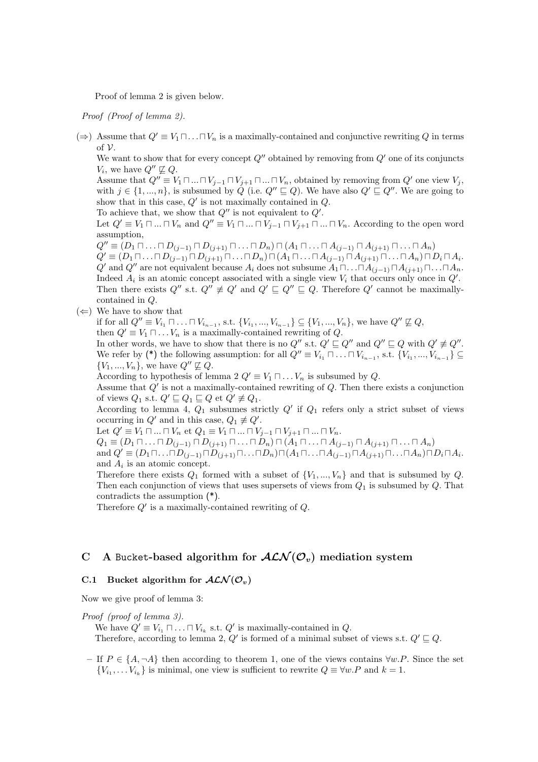Proof of lemma 2 is given below.

Proof (Proof of lemma 2).

 $(\Rightarrow)$  Assume that  $Q' \equiv V_1 \sqcap \ldots \sqcap V_n$  is a maximally-contained and conjunctive rewriting Q in terms of  $\mathcal V$ .

We want to show that for every concept  $Q''$  obtained by removing from  $Q'$  one of its conjuncts  $V_i$ , we have  $Q'' \not\sqsubseteq Q$ .

Assume that  $Q'' \equiv V_1 \sqcap ... \sqcap V_{j-1} \sqcap V_{j+1} \sqcap ... \sqcap V_n$ , obtained by removing from  $Q'$  one view  $V_j$ , with  $j \in \{1, ..., n\}$ , is subsumed by Q (i.e.  $Q'' \sqsubseteq Q$ ). We have also  $Q' \sqsubseteq Q''$ . We are going to show that in this case,  $Q'$  is not maximally contained in  $Q$ .

To achieve that, we show that  $Q''$  is not equivalent to  $Q'$ .

Let  $Q' \equiv V_1 \sqcap ... \sqcap V_n$  and  $Q'' \equiv V_1 \sqcap ... \sqcap V_{j-1} \sqcap V_{j+1} \sqcap ... \sqcap V_n$ . According to the open word assumption,

 $Q'' \equiv (D_1 \sqcap \ldots \sqcap D_{(j-1)} \sqcap D_{(j+1)} \sqcap \ldots \sqcap D_n) \sqcap (A_1 \sqcap \ldots \sqcap A_{(j-1)} \sqcap A_{(j+1)} \sqcap \ldots \sqcap A_n)$  $Q' \equiv (D_1 \sqcap \ldots \sqcap D_{(j-1)} \sqcap D_{(j+1)} \sqcap \ldots \sqcap D_n) \sqcap (A_1 \sqcap \ldots \sqcap A_{(j-1)} \sqcap A_{(j+1)} \sqcap \ldots \sqcap A_n) \sqcap D_i \sqcap A_i.$ Q' and Q'' are not equivalent because  $A_i$  does not subsume  $A_1 \cap \ldots \cap A_{(j-1)} \cap A_{(j+1)} \cap \ldots \cap A_n$ . Indeed  $A_i$  is an atomic concept associated with a single view  $V_i$  that occurs only once in  $Q'$ . Then there exists  $Q''$  s.t.  $Q'' \not\equiv Q'$  and  $Q' \sqsubseteq Q'' \sqsubseteq Q$ . Therefore  $Q'$  cannot be maximallycontained in Q.

 $(\Leftarrow)$  We have to show that

if for all  $Q'' \equiv V_{i_1} \sqcap ... \sqcap V_{i_{n-1}}$ , s.t.  $\{V_{i_1},...,V_{i_{n-1}}\} \subseteq \{V_1,...,V_n\}$ , we have  $Q'' \not\sqsubseteq Q$ , then  $Q' \equiv V_1 \sqcap \dots V_n$  is a maximally-contained rewriting of  $Q$ .

In other words, we have to show that there is no  $Q''$  s.t.  $Q' \sqsubseteq Q''$  and  $Q'' \sqsubseteq Q$  with  $Q' \not\equiv Q''$ . We refer by (\*) the following assumption: for all  $Q'' \equiv V_{i_1} \sqcap \ldots \sqcap V_{i_{n-1}}$ , s.t.  $\{V_{i_1},...,V_{i_{n-1}}\} \subseteq$  $\{V_1, ..., V_n\}$ , we have  $Q'' \not\sqsubseteq Q$ .

According to hypothesis of lemma 2  $Q' \equiv V_1 \sqcap \dots V_n$  is subsumed by  $Q$ .

Assume that  $Q'$  is not a maximally-contained rewriting of Q. Then there exists a conjunction of views  $Q_1$  s.t.  $Q' \sqsubseteq Q_1 \sqsubseteq Q$  et  $Q' \not\equiv Q_1$ .

According to lemma 4,  $Q_1$  subsumes strictly  $Q'$  if  $Q_1$  refers only a strict subset of views occurring in  $Q'$  and in this case,  $Q_1 \not\equiv Q'$ .

Let  $Q' \equiv V_1 \sqcap ... \sqcap V_n$  et  $Q_1 \equiv V_1 \sqcap ... \sqcap V_{j-1} \sqcap V_{j+1} \sqcap ... \sqcap V_n$ .

 $Q_1 \equiv (D_1 \sqcap \ldots \sqcap D_{(j-1)} \sqcap D_{(j+1)} \sqcap \ldots \sqcap D_n) \sqcap (A_1 \sqcap \ldots \sqcap A_{(j-1)} \sqcap A_{(j+1)} \sqcap \ldots \sqcap A_n)$ and  $Q' \equiv (D_1 \sqcap \ldots \sqcap D_{(j-1)} \sqcap D_{(j+1)} \sqcap \ldots \sqcap D_n) \sqcap (A_1 \sqcap \ldots \sqcap A_{(j-1)} \sqcap A_{(j+1)} \sqcap \ldots \sqcap A_n) \sqcap D_i \sqcap A_i.$ and  $A_i$  is an atomic concept.

Therefore there exists  $Q_1$  formed with a subset of  $\{V_1, ..., V_n\}$  and that is subsumed by Q. Then each conjunction of views that uses supersets of views from  $Q_1$  is subsumed by  $Q$ . That contradicts the assumption (\*).

Therefore  $Q'$  is a maximally-contained rewriting of  $Q$ .

## C A Bucket-based algorithm for  $ALN(\mathcal{O}_v)$  mediation system

## C.1 Bucket algorithm for  $ALN(\mathcal{O}_v)$

Now we give proof of lemma 3:

Proof (proof of lemma 3).

We have  $Q' \equiv V_{i_1} \sqcap \ldots \sqcap V_{i_k}$  s.t.  $Q'$  is maximally-contained in  $Q$ . Therefore, according to lemma 2,  $Q'$  is formed of a minimal subset of views s.t.  $Q' \sqsubseteq Q$ .

– If  $P \in \{A, \neg A\}$  then according to theorem 1, one of the views contains  $\forall w.P$ . Since the set  ${V_{i_1}, \ldots V_{i_k}}$  is minimal, one view is sufficient to rewrite  $Q \equiv \forall w.P$  and  $k = 1$ .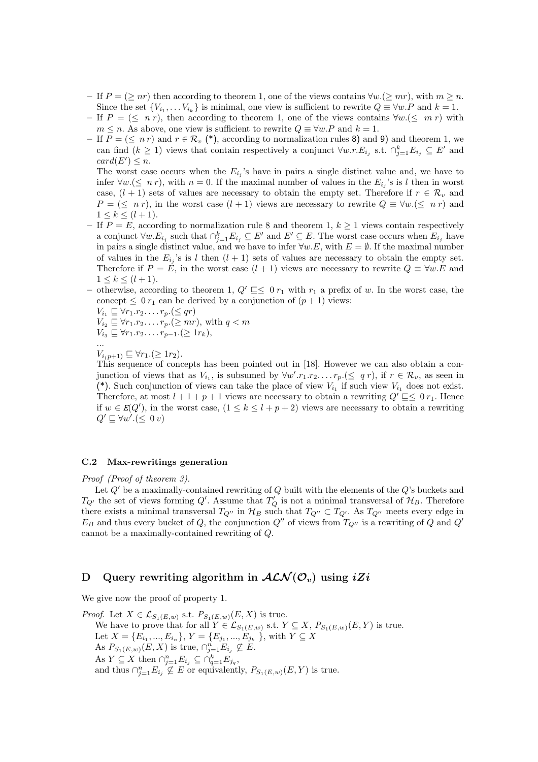- If  $P = (> nr)$  then according to theorem 1, one of the views contains  $\forall w.(> mr)$ , with  $m > n$ . Since the set  $\{V_{i_1}, \ldots V_{i_k}\}$  is minimal, one view is sufficient to rewrite  $Q \equiv \forall w.P$  and  $k = 1$ .
- If  $P = (\leq n r)$ , then according to theorem 1, one of the views contains  $\forall w. (\leq m r)$  with  $m \leq n$ . As above, one view is sufficient to rewrite  $Q \equiv \forall w \cdot P$  and  $k = 1$ .
- If  $P = (\leq n r)$  and  $r \in \mathcal{R}_v$  (\*), according to normalization rules 8) and 9) and theorem 1, we can find  $(k \geq 1)$  views that contain respectively a conjunct  $\forall w.r.E_{i_j}$  s.t.  $\bigcap_{j=1}^k E_{i_j} \subseteq E'$  and  $card(E') \leq n$ .

The worst case occurs when the  $E_{i_j}$ 's have in pairs a single distinct value and, we have to infer  $\forall w. (\leq n r)$ , with  $n = 0$ . If the maximal number of values in the  $E_{i_j}$ 's is l then in worst case,  $(l + 1)$  sets of values are necessary to obtain the empty set. Therefore if  $r \in \mathcal{R}_v$  and  $P = (\leq n r)$ , in the worst case  $(l + 1)$  views are necessary to rewrite  $Q \equiv \forall w . (\leq n r)$  and  $1 \leq k \leq (l+1)$ .

- If  $P = E$ , according to normalization rule 8 and theorem 1,  $k > 1$  views contain respectively a conjunct  $\forall w.E_{i_j}$  such that  $\cap_{j=1}^k E_{i_j} \subseteq E'$  and  $E' \subseteq E$ . The worst case occurs when  $E_{i_j}$  have in pairs a single distinct value, and we have to infer  $\forall w.E$ , with  $E = \emptyset$ . If the maximal number of values in the  $E_{i_j}$ 's is l then  $(l + 1)$  sets of values are necessary to obtain the empty set. Therefore if  $P = \dot{E}$ , in the worst case  $(l + 1)$  views are necessary to rewrite  $Q \equiv \forall w.E$  and  $1 \leq k \leq (l + 1).$
- otherwise, according to theorem 1,  $Q' \subseteq \leq 0 r_1$  with  $r_1$  a prefix of w. In the worst case, the concept  $\leq 0 r_1$  can be derived by a conjunction of  $(p+1)$  views:

$$
V_{i_1} \sqsubseteq \forall r_1.r_2.\ldots r_p.(\leq qr)
$$

 $V_{i_2} \sqsubseteq \forall r_1.r_2.\ldots r_p. (\geq mr), \text{ with } q < m$ 

$$
V_{i_3} \sqsubseteq \forall r_1.r_2.\ldots r_{p-1}.(\geq 1 r_k),
$$

$$
\dots
$$
  

$$
V_{i(p+1)} \sqsubseteq \forall r_1. (\geq 1r_2).
$$

This sequence of concepts has been pointed out in [18]. However we can also obtain a conjunction of views that as  $V_{i_1}$ , is subsumed by  $\forall w'.r_1.r_2.\dots r_p. (\leq q r)$ , if  $r \in \mathcal{R}_v$ , as seen in (\*). Such conjunction of views can take the place of view  $V_{i_1}$  if such view  $V_{i_1}$  does not exist. Therefore, at most  $l + 1 + p + 1$  views are necessary to obtain a rewriting  $Q' \subseteq \leq 0 r_1$ . Hence if  $w \in E(Q')$ , in the worst case,  $(1 \leq k \leq l+p+2)$  views are necessary to obtain a rewriting  $Q' \sqsubseteq \forall w'.(\leq 0 v)$ 

#### C.2 Max-rewritings generation

Proof (Proof of theorem 3).

Let  $Q'$  be a maximally-contained rewriting of  $Q$  built with the elements of the  $Q$ 's buckets and  $T_{Q'}$  the set of views forming  $Q'$ . Assume that  $T'_{Q}$  is not a minimal transversal of  $\mathcal{H}_B$ . Therefore there exists a minimal transversal  $T_{Q''}$  in  $\mathcal{H}_B$  such that  $T_{Q''} \subset T_{Q'}$ . As  $T_{Q''}$  meets every edge in  $E_B$  and thus every bucket of Q, the conjunction Q'' of views from  $T_{Q}$ '' is a rewriting of Q and Q' cannot be a maximally-contained rewriting of Q.

## D Query rewriting algorithm in  $ALN(\mathcal{O}_v)$  using  $iZi$

We give now the proof of property 1.

*Proof.* Let  $X \in \mathcal{L}_{S_1(E,w)}$  s.t.  $P_{S_1(E,w)}(E,X)$  is true. We have to prove that for all  $Y \in \mathcal{L}_{S_1(E,w)}$  s.t.  $Y \subseteq X$ ,  $P_{S_1(E,w)}(E, Y)$  is true. Let  $X = \{E_{i_1}, ..., E_{i_n}\}, Y = \{E_{j_1}, ..., E_{j_k}\}\$ , with  $Y \subseteq X$ As  $P_{S_1(E,w)}(E, X)$  is true,  $\bigcap_{j=1}^n E_{i_j} \nsubseteq E$ . As  $Y \subseteq X$  then  $\bigcap_{j=1}^{n} E_{i_j} \subseteq \bigcap_{q=1}^{k} E_{j_q}$ , and thus  $\bigcap_{j=1}^n E_{i_j} \nsubseteq E$  or equivalently,  $P_{S_1(E,w)}(E,Y)$  is true.